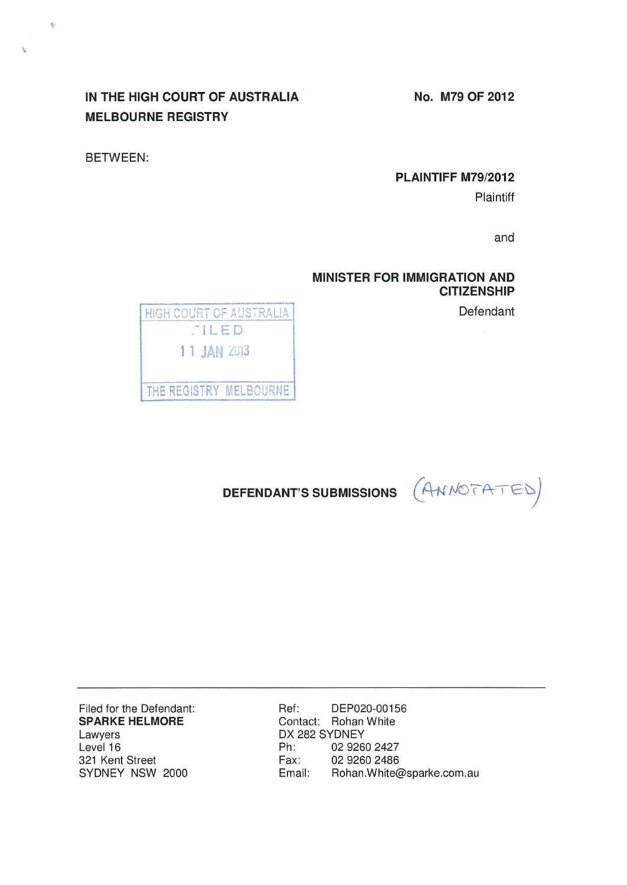**No. M79 OF 2012** 

# **IN THE HIGH COURT OF AUSTRALIA MELBOURNE REGISTRY**

BETWEEN:

 $\Phi$ 

## **PLAINTIFF M79/2012**

Plaintiff

and

# **MINISTER FOR IMMIGRATION AND CITIZENSHIP**

Defendant

HIGH COURT OF AUSTRALIA .-I LED 1 1 JAN 2013

THE REGISTRY MELBOURNE



Filed for the Defendant: **SPARKE HELMORE**  Lawyers Level 16 321 Kent Street SYDNEY NSW 2000

Ref: DEP020-00156 Contact: Rohan White DX 282 SYDNEY Ph: 02 9260 2427 Fax: 02 9260 2486<br>Email: Rohan.White Rohan. White@sparke.com.au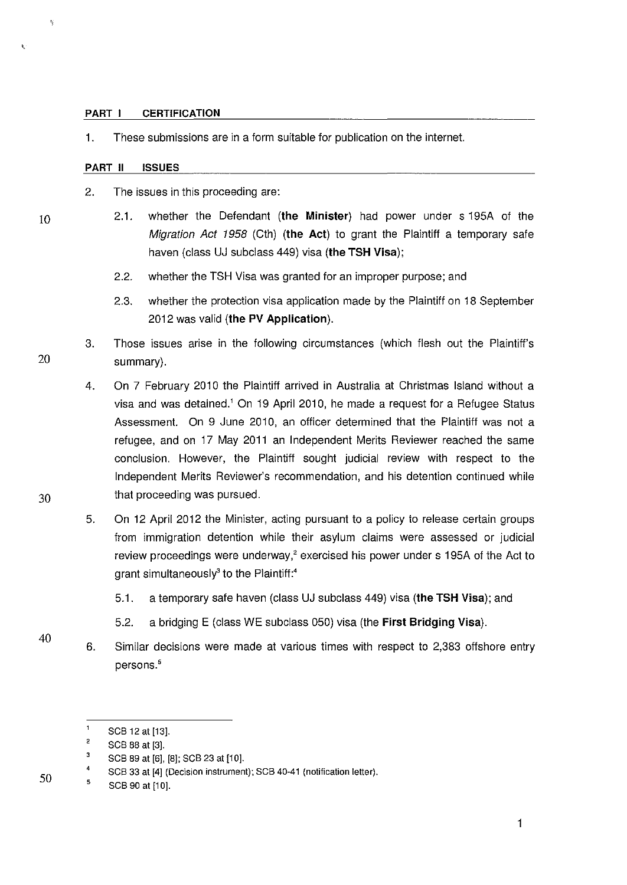#### **PART I CERTIFICATION**

1. These submissions are in a form suitable for publication on the internet.

#### **PART II ISSUES**

- 2. The issues in this proceeding are:
	- 2.1. whether the Defendant **(the Minister)** had power under s 195A of the Migration Act 1958 (Cth) **(the Act)** to grant the Plaintiff a temporary safe haven (class UJ subclass 449) visa **(the TSH Visa);** 
		- 2.2. whether the TSH Visa was granted for an improper purpose; and
		- 2.3. whether the protection visa application made by the Plaintiff on 18 September 2012 was valid **(the PV Application).**
- 3. Those issues arise in the following circumstances (which flesh out the Plaintiff's 20 summary).
- 4. On 7 February 2010 the Plaintiff arrived in Australia at Christmas Island without a visa and was detained.<sup>1</sup> On 19 April 2010, he made a request for a Refugee Status Assessment. On 9 June 2010, an officer determined that the Plaintiff was not a refugee, and on 17 May 2011 an Independent Merits Reviewer reached the same conclusion. However, the Plaintiff sought judicial review with respect to the Independent Merits Reviewer's recommendation, and his detention continued while 30 that proceeding was pursued.
	- 5. On 12 April 2012 the Minister, acting pursuant to a policy to release certain groups from immigration detention while their asylum claims were assessed or judicial review proceedings were underway,<sup>2</sup> exercised his power under s 195A of the Act to grant simultaneously $3$  to the Plaintiff:<sup>4</sup>
		- 5.1. a temporary safe haven (class UJ subclass 449) visa **(the TSH Visa);** and
		- 5.2. a bridging E (class WE subclass 050) visa (the **First Bridging Visa).**
	- 6. Similar decisions were made at various times with respect to 2,383 offshore entry persons.'

10

 $\ddot{\mathbf{r}}$ 

 $\mathbf 1$ SCB 12 at [13].

 $\overline{2}$ SCB 88 at [3].

 $\overline{\mathbf{3}}$ SCB 89 at [6], [8]; SCB 23 at [10].

<sup>4</sup>  SCB 33 at [4] (Decision instrument); SCB 40·41 (notification letter).

<sup>5</sup>  SCB 90 at [10].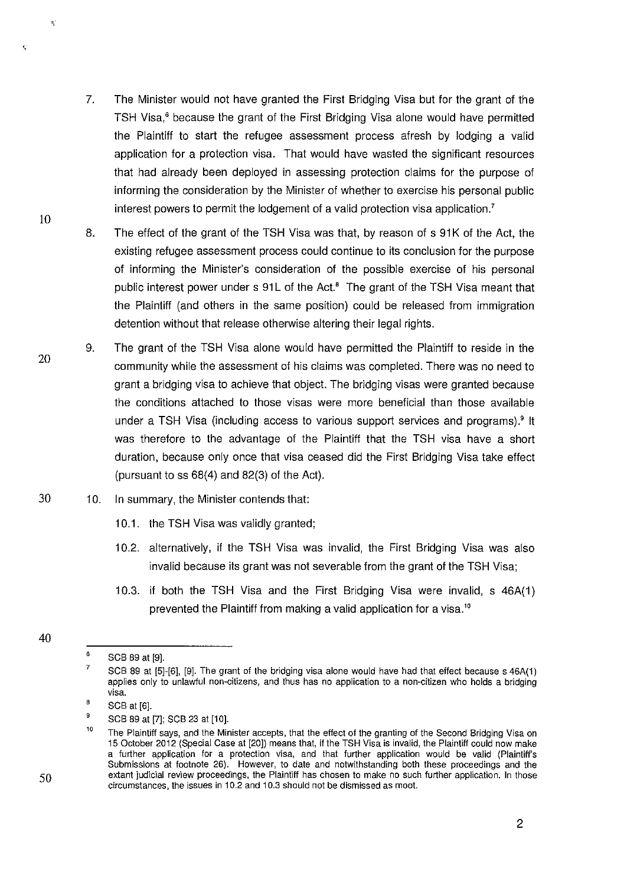- 7. The Minister would not have granted the First Bridging Visa but for the grant of the TSH Visa,' because the grant of the First Bridging Visa alone would have permitted the Plaintiff to start the refugee assessment process afresh by lodging a valid application for a protection visa. That would have wasted the significant resources that had already been deployed in assessing protection claims for the purpose of informing the consideration by the Minister of whether to exercise his personal public interest powers to permit the lodgement of a valid protection visa application.'
- 8. The effect of the grant of the TSH Visa was that, by reason of s 91K of the Act, the existing refugee assessment process could continue to its conclusion for the purpose of informing the Minister's consideration of the possible exercise of his personal public interest power under s 91L of the Act.<sup>8</sup> The grant of the TSH Visa meant that the Plaintiff (and others in the same position) could be released from immigration detention without that release otherwise altering their legal rights.
- 20 9. The grant of the TSH Visa alone would have permitted the Plaintiff to reside in the community while the assessment of his claims was completed. There was no need to grant a bridging visa to achieve that object. The bridging visas were granted because the conditions attached to those visas were more beneficial than those available under a TSH Visa (including access to various support services and programs).<sup>9</sup> It was therefore to the advantage of the Plaintiff that the TSH visa have a short duration, because only once that visa ceased did the First Bridging Visa take effect (pursuant to  $ss 68(4)$  and  $82(3)$  of the Act).
- 30 10. In summary, the Minister contends that:
	- 10.1. the TSH Visa was validly granted;
	- 1 0.2. alternatively, if the TSH Visa was invalid, the First Bridging Visa was also invalid because its grant was not severable from the grant of the TSH Visa;
	- 1 0.3. if both the TSH Visa and the First Bridging Visa were invalid, s 46A(1) prevented the Plaintiff from making a valid application for a visa."

50

10

<sup>40</sup> 

<sup>6</sup>  SCB 89 at [9].

<sup>7</sup>  SCB 89 at [5]-[6], [9]. The grant of the bridging visa alone would have had that effect because s 46A(1) applies only to unlawful non-citizens, and thus has no application to a non-citizen who holds a bridging **visa.** 

<sup>8</sup>  SCB at [6].

<sup>9</sup>  SCB 89 at [7]; SCB 23 at [10].

<sup>10</sup>  The Plaintiff says, and the Minister accepts, that the effect of the granting of the Second Bridging Visa on 15 October 2012 (Special Case at [20]) means that, if the TSH Visa is invalid, the Plaintiff could now make a further application for a protection visa, and that further application would be valid (Plaintiff's Submissions at footnote 26). However, to date and notwithstanding both these proceedings and the extant judicial review proceedings, the Plaintiff has chosen to make no such further application. In those circumstances, the issues in 10.2 and 10.3 should not be dismissed as moot.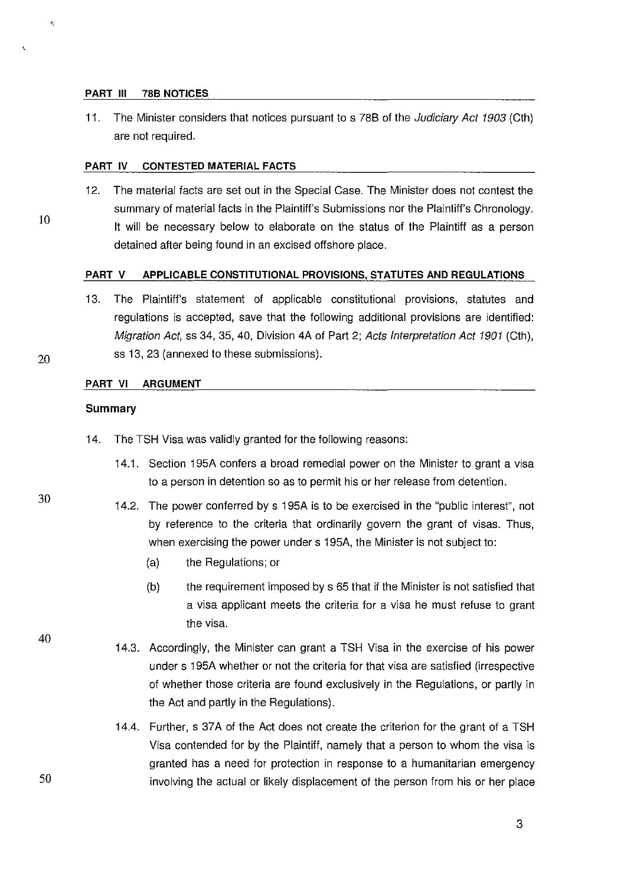#### **PART Ill 788 NOTICES**

11. The Minister considers that notices pursuant to s 78B of the *Judiciary Act 1903* (Cth) are not required.

#### **PART IV CONTESTED MATERIAL FACTS**

12. The material facts are set out in the Special Case. The Minister does not contest the summary of material facts in the Plaintiff's Submissions nor the Plaintiff's Chronology. It will be necessary below to elaborate on the status of the Plaintiff as a person detained after being found in an excised offshore place.

#### **PART V APPLICABLE CONSTITUTIONAL PROVISIONS, STATUTES AND REGULATIONS**

13. The Plaintiff's statement of applicable constitutional provisions, statutes and regulations is accepted, save that the following additional provisions are identified: Migration Act, ss 34, 35, 40, Division 4A of Part 2; Acts Interpretation Act 1901 (Cth), ss 13, 23 (annexed to these submissions).

#### **PART VI ARGUMENT**

#### **Summary**

- 14. The TSH Visa was validly granted for the following reasons:
	- 14.1. Section 195A confers a broad remedial power on the Minister to grant a visa to a person in detention so as to permit his or her release from detention.
	- 14.2. The power conferred by s 195A is to be exercised in the "public interest", not by reference to the criteria that ordinarily govern the grant of visas. Thus, when exercising the power under s 195A, the Minister is not subject to:
		- (a) the Regulations; or
		- $(b)$  the requirement imposed by s 65 that if the Minister is not satisfied that a visa applicant meets the criteria for a visa he must refuse to grant the visa.
		- 14.3. Accordingly, the Minister can grant a TSH Visa in the exercise of his power under s 195A whether or not the criteria for that visa are satisfied (irrespective of whether those criteria are found exclusively in the Regulations, or partly in the Act and partly in the Regulations).
		- 14.4. Further, s 37A of the Act does not create the criterion for the grant of a TSH Visa contended for by the Plaintiff, namely that a person to whom the visa is granted has a need for protection in response to a humanitarian emergency involving the actual or likely displacement of the person from his or her place

20

10

# 30

40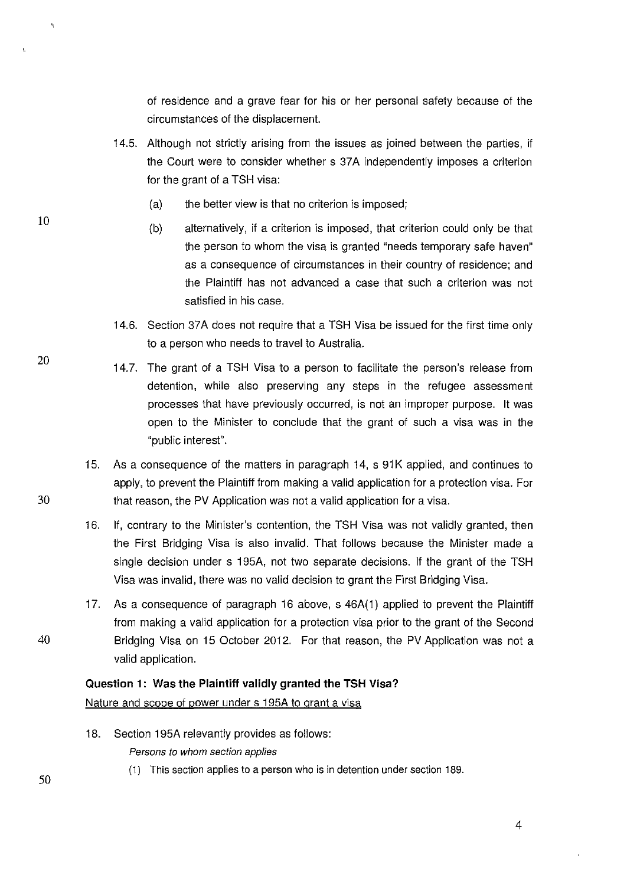of residence and a grave fear for his or her personal safety because of the circumstances of the displacement.

- 14.5. Although not strictly arising from the issues as joined between the parties, if the Court were to consider whether s 37A independently imposes a criterion for the grant of a TSH visa:
	- (a) the better view is that no criterion is imposed;
	- (b) alternatively, if a criterion is imposed, that criterion could only be that the person to whom the visa is granted "needs temporary safe haven" as a consequence of circumstances in their country of residence; and the Plaintiff has not advanced a case that such a criterion was not satisfied in his case.
- 14.6. Section 37A does not require that a TSH Visa be issued for the first time only to a person who needs to travel to Australia.
- 14.7. The grant of a TSH Visa to a person to facilitate the person's release from detention, while also preserving any steps in the refugee assessment processes that have previously occurred, is not an improper purpose. It was open to the Minister to conclude that the grant of such a visa was in the "public interest".
- 15. As a consequence of the matters in paragraph 14, s 91 K applied, and continues to apply, to prevent the Plaintiff from making a valid application for a protection visa. For 30 that reason, the PV Application was not a valid application for a visa.
	- 16. If, contrary to the Minister's contention, the TSH Visa was not validly granted, then the First Bridging Visa is also invalid. That follows because the Minister made a single decision under s 195A, not two separate decisions. If the grant of the TSH Visa was invalid, there was no valid decision to grant the First Bridging Visa.
- 17. As a consequence of paragraph 16 above, s 46A(1) applied to prevent the Plaintiff from making a valid application for a protection visa prior to the grant of the Second 40 Bridging Visa on 15 October 2012. For that reason, the PV Application was not a valid application.

#### **Question 1: Was the Plaintiff validly granted the TSH Visa?**

#### Nature and scope of power under s 195A to grant a visa

- 18. Section 195A relevantly provides as follows: Persons to whom section applies
	- (1) This section applies to a person who is in detention under section 189.

20

10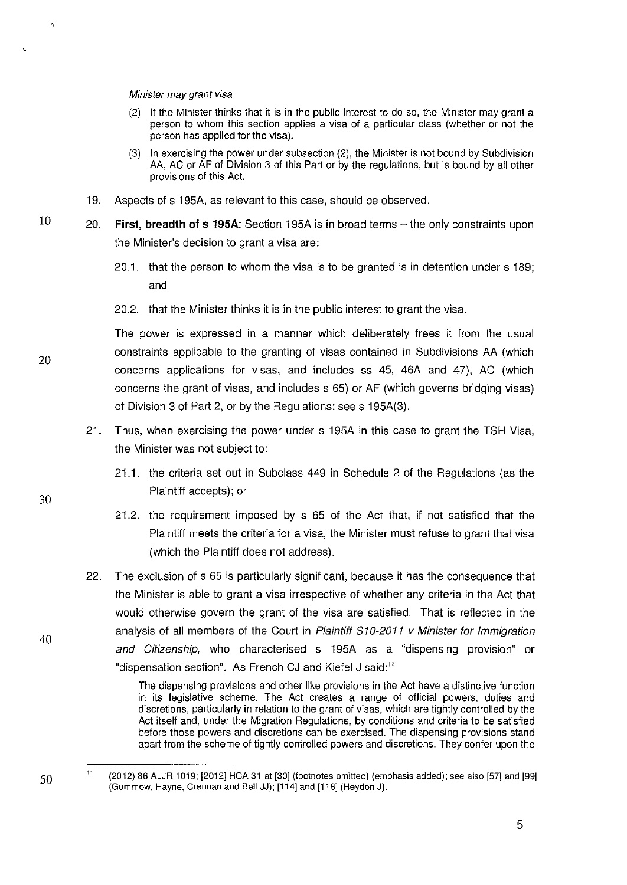#### Minister may grant visa

- (2) If the Minister thinks that it is in the public interest to do so, the Minister may grant a person to whom this section applies a visa of a particular class (whether or not the person has applied for the visa).
- (3) In exercising the power under subsection (2), the Minister is not bound by Subdivision AA, AC or AF of Division 3 of this Part or by the regulations, but is bound by all other provisions of this Act.
- 19. Aspects of s 195A, as relevant to this case, should be observed.
- 20. **First, breadth of s 195A:** Section 195A is in broad terms- the only constraints upon the Minister's decision to grant a visa are:
	- 20.1. that the person to whom the visa is to be granted is in detention under s 189; and
	- 20.2. that the Minister thinks it is in the public interest to grant the visa.

The power is expressed in a manner which deliberately frees it from the usual constraints applicable to the granting of visas contained in Subdivisions AA (which concerns applications for visas, and includes ss 45, 46A and 47), AC (which concerns the grant of visas, and includes s 65) or AF (which governs bridging visas) of Division 3 of Part 2, or by the Regulations: sees 195A(3).

- 21. Thus, when exercising the power under s 195A in this case to grant the TSH Visa, the Minister was not subject to:
	- 21.1. the criteria set out in Subclass 449 in Schedule 2 of the Regulations (as the Plaintiff accepts); or
	- 21.2. the requirement imposed by s 65 of the Act that, if not satisfied that the Plaintiff meets the criteria for a visa, the Minister must refuse to grant that visa (which the Plaintiff does not address).
- 22. The exclusion of s 65 is particularly significant, because it has the consequence that the Minister is able to grant a visa irrespective of whether any criteria in the Act that would otherwise govern the grant of the visa are satisfied. That is reflected in the analysis of all members of the Court in Plaintiff S10-2011 v Minister for Immigration and Citizenship, who characterised s 195A as a "dispensing provision" or "dispensation section". As French CJ and Kiefel J said:"

The dispensing provisions and other like provisions in the Act have a distinctive function in its legislative scheme. The Act creates a range of official powers, duties and discretions, particularly in relation to the grant of visas, which are tightly controlled by the Act itself and, under the Migration Regulations, by conditions and criteria to be satisfied before those powers and discretions can be exercised. The dispensing provisions stand apart from the scheme of tightly controlled powers and discretions. They confer upon the

20

10

40

<sup>11</sup>  (2012) 86 ALJR 1019; [2012] HCA 31 at [30] (footnotes omitted) (emphasis added); see also [57] and [99] (Gummow, Hayne, Grennan and Bell JJ); [114] and [118] (Heydon J).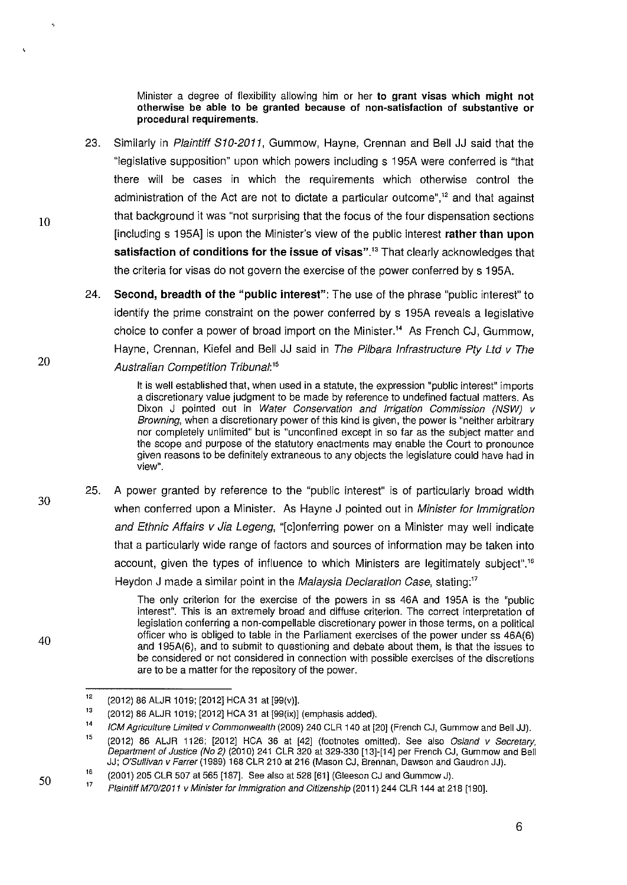Minister a degree of flexibility allowing him or her **to grant visas which might not otherwise be able to be granted because of non-satisfaction of substantive or procedural requirements.** 

- 23. Similarly in Plaintiff 810-2011, Gummow, Hayne, Grennan and Bell JJ said that the "legislative supposition" upon which powers including s 195A were conferred is "that there will be cases in which the requirements which otherwise control the administration of the Act are not to dictate a particular outcome",<sup>12</sup> and that against that background it was "not surprising that the focus of the four dispensation sections [including s 195A] is upon the Minister's view of the public interest **rather than upon satisfaction of conditions for the issue of visas"."** That clearly acknowledges that the criteria for visas do not govern the exercise of the power conferred by s 195A.
- 24. **Second, breadth of the "public interest":** The use of the phrase "public interest" to identify the prime constraint on the power conferred by s **1** 95A reveals a legislative choice to confer a power of broad import on the Minister." As French GJ, Gummow, Hayne, Grennan, Kiefel and Bell **JJ** said in The Pilbara Infrastructure Pty Ltd v The Australian Competition Tribunal:<sup>15</sup>

It is well established that, when used in a statute, the expression "public interest" imports a discretionary value judgment to be made by reference to undefined factual matters. As Dixon J pointed out in Water Conservation and Irrigation Commission (NSW) v Browning, when a discretionary power of this kind is given, the power is "neither arbitrary nor completely unlimited" but is "unconfined except in so far as the subject matter and the scope and purpose of the statutory enactments may enable the Court to pronounce given reasons to be definitely extraneous to any objects the legislature could have had in **view".** 

25. A power granted by reference to the "public interest" is of particularly broad width when conferred upon a Minister. As Hayne J pointed out in Minister for Immigration and Ethnic Affairs v Jia Legeng, "[c]onferring power on a Minister may well indicate that a particularly wide range of factors and sources of information may be taken into account, given the types of influence to which Ministers are legitimately subject"." Heydon J made a similar point in the Malaysia Declaration Case, stating:<sup>17</sup>

> The only criterion for the exercise of the powers in ss 46A and 195A is the "public interest". This is an extremely broad and diffuse criterion. The correct interpretation of legislation conferring a non-compellable discretionary power in those terms, on a political officer who is obliged to table in the Parliament exercises of the power under ss 46A(6) and 195A(6), and to submit to questioning and debate about them, is that the issues to be considered or not considered in connection with possible exercises of the discretions are to be a matter for the repository of the power.

20

10

30

40

<sup>12</sup>  (2012) 86 ALJR 1019; [2012] HCA 31 at [99(v)].

<sup>13</sup>  (2012) 86 ALJR 1019; [2012] HCA 31 at [99(ix)] (emphasis added).

<sup>14</sup>  ICM Agriculture Limited v Commonwealth (2009) 240 CLR 140 at [20] (French CJ, Gummow and Bell JJ).

<sup>15</sup>  (2012) 86 ALJR 1126; [2012] HCA 36 at [42] (footnotes omitted). See also Osland v Secretary, Department of Justice (No 2) (201 0) 241 CLR 320 at 329-330 [13]-[14] per French CJ, Gum mow and Bell JJ; O'Sullivan v Farrer (1989) 168 CLR 210 at 216 (Mason CJ, Brennan, Dawson and Gaudron JJ).

<sup>16</sup>  (2001) 205 CLR 507 at 565 [187]. See also at 528 [61] (Gleeson CJ and Gum mow J).

<sup>17</sup>  Plaintiff M70/2011 v Minister for Immigration and Citizenship (2011) 244 CLR 144 at 218 [190].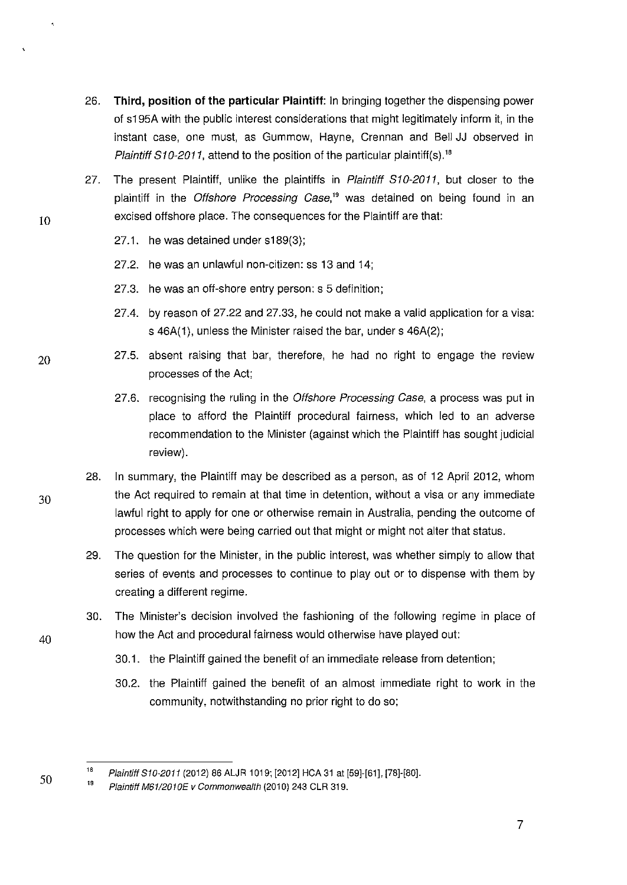- 26. **Third, position of the particular Plaintiff:** In bringing together the dispensing power of s195A with the public interest considerations that might legitimately inform it, in the instant case, one must, as Gummow, Hayne, Grennan and Bell JJ observed in Plaintiff  $S10-2011$ , attend to the position of the particular plaintiff(s).<sup>18</sup>
- 27. The present Plaintiff, unlike the plaintiffs in Plaintiff S10-2011, but closer to the plaintiff in the Offshore Processing Case.<sup>19</sup> was detained on being found in an excised offshore place. The consequences for the Plaintiff are that:
	- 27.1. he was detained under s189(3);
	- 27.2. he was an unlawful non-citizen: ss 13 and 14;
	- 27.3. he was an off-shore entry person: s 5 definition;
	- 27.4. by reason of 27.22 and 27.33, he could not make a valid application for a visa: s 46A(1), unless the Minister raised the bar, under s 46A(2);
	- 27.5. absent raising that bar, therefore, he had no right to engage the review processes of the Act;
		- 27.6. recognising the ruling in the Offshore Processing Case, a process was put in place to afford the Plaintiff procedural fairness, which led to an adverse recommendation to the Minister (against which the Plaintiff has sought judicial review).
- 28. In summary, the Plaintiff may be described as a person, as of 12 April 2012, whom the Act required to remain at that time in detention, without a visa or any immediate lawful right to apply for one or otherwise remain in Australia, pending the outcome of processes which were being carried out that might or might not alter that status.
	- 29. The question for the Minister, in the public interest, was whether simply to allow that series of events and processes to continue to play out or to dispense with them by creating a different regime.
	- 30. The Minister's decision involved the fashioning of the following regime in place of how the Act and procedural fairness would otherwise have played out:
		- 30.1. the Plaintiff gained the benefit of an immediate release from detention;
		- 30.2. the Plaintiff gained the benefit of an almost immediate right to work in the community, notwithstanding no prior right to do so;

20

10

40

<sup>18</sup>  Plaintiff S10-2011 (2012) 86 ALJR 1019; [2012] HCA 31 at [59]-[61], [78]-[80].

<sup>19</sup>  Plaintiff M61/2010E v Commonwealth (2010) 243 CLR 319.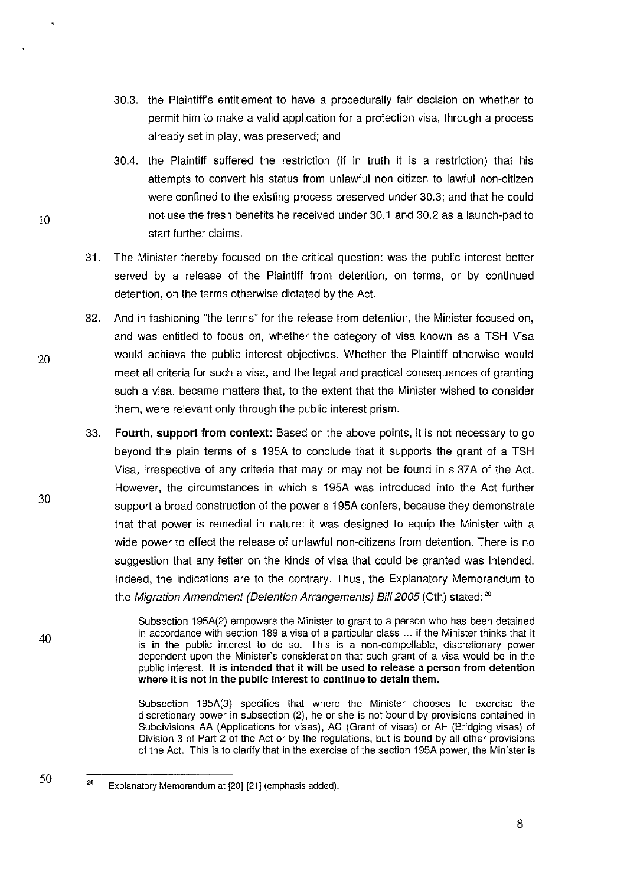- 30.3. the Plaintiff's entitlement to have a procedurally fair decision on whether to permit him to make a valid application for a protection visa, through a process already set in play, was preserved; and
- 30.4. the Plaintiff suffered the restriction (if in truth it is a restriction) that his attempts to convert his status from unlawful non-citizen to lawful non-citizen were confined to the existing process preserved under 30.3; and that he could not use the fresh benefits he received under 30.1 and 30.2 as a launch-pad to start further claims.
- 31. The Minister thereby focused on the critical question: was the public interest better served by a release of the Plaintiff from detention, on terms, or by continued detention, on the terms otherwise dictated by the Act.
- 32. And in fashioning "the terms" for the release from detention, the Minister focused on, and was entitled to focus on, whether the category of visa known as a TSH Visa would achieve the public interest objectives. Whether the Plaintiff otherwise would meet all criteria for such a visa, and the legal and practical consequences of granting such a visa, became matters that, to the extent that the Minister wished to consider them, were relevant only through the public interest prism.
- 33. **Fourth, support from context:** Based on the above points, it is not necessary to go beyond the plain terms of s 195A to conclude that it supports the grant of a TSH Visa, irrespective of any criteria that may or may not be found in s 37A of the Act. However, the circumstances in which s 195A was introduced into the Act further support a broad construction of the power s 195A confers, because they demonstrate that that power is remedial in nature: it was designed to equip the Minister with a wide power to effect the release of unlawful non-citizens from detention. There is no suggestion that any fetter on the kinds of visa that could be granted was intended. Indeed, the indications are to the contrary. Thus, the Explanatory Memorandum to the Migration Amendment (Detention Arrangements) Bill 2005 (Cth) stated:<sup>20</sup>

Subsection 195A(2) empowers the Minister to grant to a person who has been detained in accordance with section 189 a visa of a particular class ... if the Minister thinks that it is in the public interest to do so. This is a non-compellable, discretionary power dependent upon the Minister's consideration that such grant of a visa would be in the public interest. **It is intended that it will be used to release a person from detention where it is not in the public interest to continue to detain them.** 

Subsection 195A(3) specifies that where the Minister chooses to exercise the discretionary power in subsection (2), he or she is not bound by provisions contained in Subdivisions AA (Applications for visas), AC (Grant of visas) or AF (Bridging visas) of Division 3 of Part 2 of the Act or by the regulations, but is bound by all other provisions of the Act. This is to clarify that in the exercise of the section 195A power, the Minister is

10

30

20

40

<sup>20</sup>  Explanatory Memorandum at [20]-[21] (emphasis added).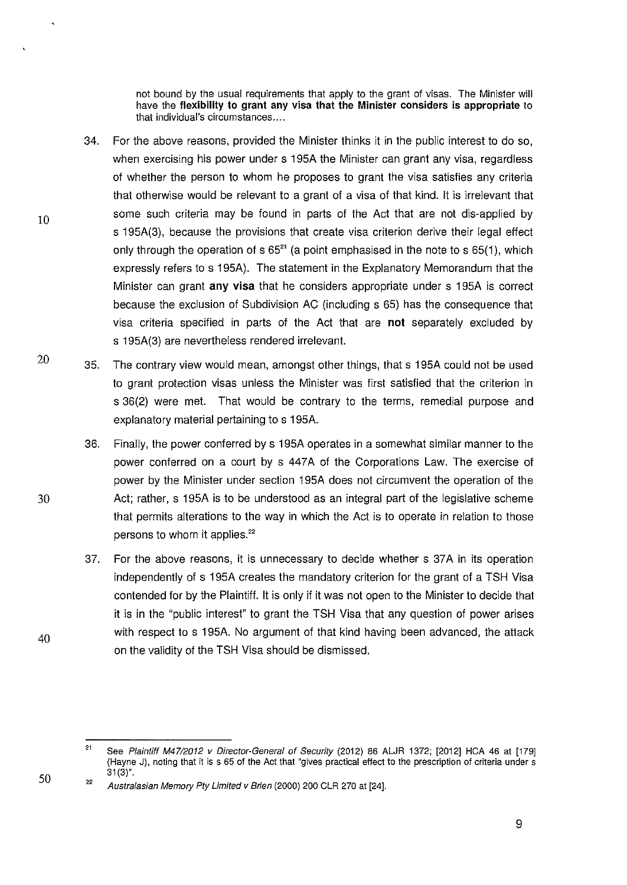not bound by the usual requirements that apply to the grant of visas. The Minister will have the **flexibility to grant any visa that the Minister considers is appropriate** to that individual's circumstances ....

- 34. For the above reasons, provided the Minister thinks it in the public interest to do so, when exercising his power under s 195A the Minister can grant any visa, regardless of whether the person to whom he proposes to grant the visa satisfies any criteria that otherwise would be relevant to a grant of a visa of that kind. It is irrelevant that some such criteria may be found in parts of the Act that are not dis-applied by s 195A(3), because the provisions that create visa criterion derive their legal effect only through the operation of  $s$  65<sup>21</sup> (a point emphasised in the note to  $s$  65(1), which expressly refers to s 195A). The statement in the Explanatory Memorandum that the Minister can grant **any visa** that he considers appropriate under s 195A is correct because the exclusion of Subdivision AC (including s 65} has the consequence that visa criteria specified in parts of the Act that are **not** separately excluded by s 195A(3) are nevertheless rendered irrelevant.
- 20 35. The contrary view would mean, amongst other things, that s 195A could not be used to grant protection visas unless the Minister was first satisfied that the criterion in s 36(2) were met. That would be contrary to the terms, remedial purpose and explanatory material pertaining to s 195A.
	- 36. Finally, the power conferred by s 195A operates in a somewhat similar manner to the power conferred on a court by s 447A of the Corporations Law. The exercise of power by the Minister under section 195A does not circumvent the operation of the Act; rather, s 195A is to be understood as an integral part of the legislative scheme that permits alterations to the way in which the Act is to operate in relation to those persons to whom it applies.<sup>22</sup>
	- 37. For the above reasons, it is unnecessary to decide whether s 37A in its operation independently of s 195A creates the mandatory criterion for the grant of a TSH Visa contended for by the Plaintiff. It is only if it was not open to the Minister to decide that it is in the "public interest" to grant the TSH Visa that any question of power arises with respect to s 195A. No argument of that kind having been advanced, the attack on the validity of the TSH Visa should be dismissed.

10

30

50

<sup>21</sup>  See Plaintiff M47/2012 v Director-General of Security (2012) 86 ALJR 1372; [2012] HCA 46 at [179] (Hayne J), noting that it is s 65 of the Act that "gives practical effect to the prescription of criteria under s  $31(3)$ ".

<sup>22</sup>  Australasian Memory Pty Limited v Brien (2000) 200 CLR 270 at [24].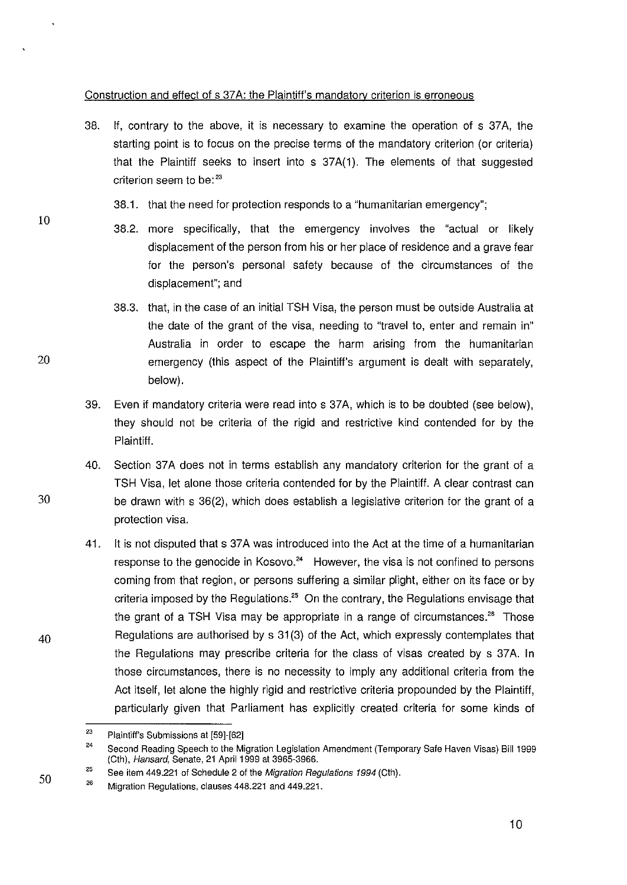# Construction and effect of s 37A: the Plaintiff's mandatory criterion is erroneous

- 38. If, contrary to the above, it is necessary to examine the operation of s 37A, the starting point is to focus on the precise terms of the mandatory criterion (or criteria) that the Plaintiff seeks to insert into s 37A(1). The elements of that suggested criterion seem to be:<sup>23</sup>
	- 38.1. that the need for protection responds to a "humanitarian emergency";
	- 38.2. more specifically, that the emergency involves the "actual or likely displacement of the person from his or her place of residence and a grave fear for the person's personal safety because of the circumstances of the displacement"; and
- 38.3. that, in the case of an initial TSH Visa, the person must be outside Australia at the date of the grant of the visa, needing to "travel to, enter and remain in" Australia in order to escape the harm arising from the humanitarian 20 emergency (this aspect of the Plaintiff's argument is dealt with separately, below).
	- 39. Even if mandatory criteria were read into s 37A, which is to be doubted (see below), they should not be criteria of the rigid and restrictive kind contended for by the Plaintiff.
	- 40. Section 37A does not in terms establish any mandatory criterion for the grant of a TSH Visa, let alone those criteria contended for by the Plaintiff. A clear contrast can be drawn with s 36(2), which does establish a legislative criterion for the grant of a protection visa.
	- 41. It is not disputed that s 37A was introduced into the Act at the time of a humanitarian response to the genocide in Kosovo. $24$  However, the visa is not confined to persons coming from that region, or persons suffering a similar plight, either on its face or by criteria imposed by the Regulations.<sup>25</sup> On the contrary, the Regulations envisage that the grant of a TSH Visa may be appropriate in a range of circumstances.<sup>26</sup> Those Regulations are authorised by s 31 (3) of the Act, which expressly contemplates that the Regulations may prescribe criteria for the class of visas created by s 37A. In those circumstances, there is no necessity to imply any additional criteria from the Act itself, let alone the highly rigid and restrictive criteria propounded by the Plaintiff, particularly given that Parliament has explicitly created criteria for some kinds of

10

30

40

<sup>23</sup>  Plaintiff's Submissions at [59]·[62]

<sup>24</sup>  Second Reading Speech to the Migration Legislation Amendment (Temporary Safe Haven Visas) Bill 1999 (Cth), Hansard, Senate, 21 April 1999 at 3965-3966.

<sup>25</sup>  See item 449.221 of Schedule 2 of the Migration Regulations 1994 (Cth).

<sup>26</sup>  Migration Regulations, clauses 448.221 and 449.221.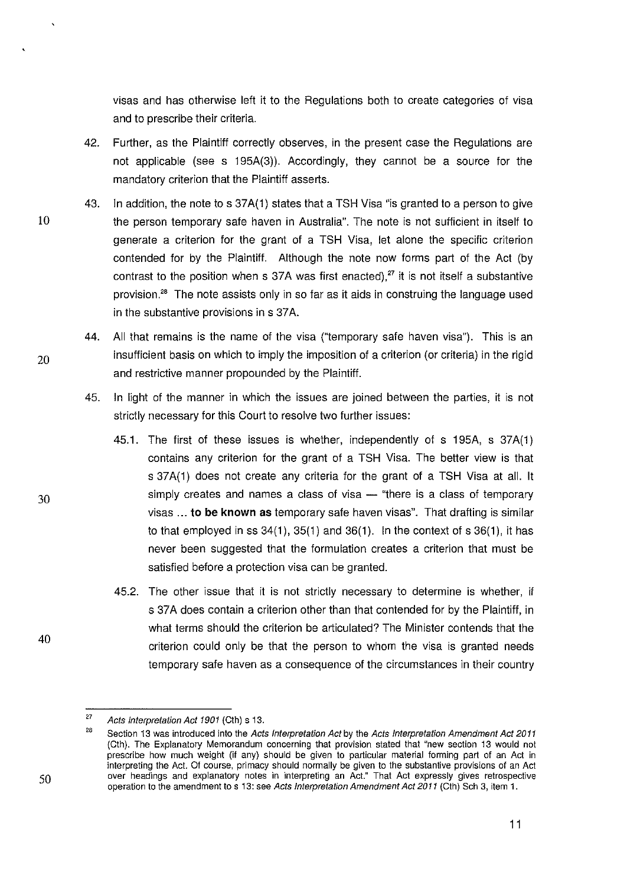visas and has otherwise left it to the Regulations both to create categories of visa and to prescribe their criteria.

- 42. Further, as the Plaintiff correctly observes, in the present case the Regulations are not applicable (see s 195A(3)). Accordingly, they cannot be a source for the mandatory criterion that the Plaintiff asserts.
- 43. In addition, the note to s 37A(1) states that a TSH Visa "is granted to a person to give 10 the person temporary safe haven in Australia". The note is not sufficient in itself to generate a criterion for the grant of a TSH Visa, let alone the specific criterion contended for by the Plaintiff. Although the note now forms part of the Act (by contrast to the position when s 37A was first enacted).<sup>27</sup> it is not itself a substantive provision.<sup>28</sup> The note assists only in so far as it aids in construing the language used in the substantive provisions in s 37A.
- 44. All that remains is the name of the visa ("temporary safe haven visa"). This is an  $20$  insufficient basis on which to imply the imposition of a criterion (or criteria) in the rigid and restrictive manner propounded by the Plaintiff.
	- 45. In light of the manner in which the issues are joined between the parties, it is not strictly necessary for this Court to resolve two further issues:
		- 45.1. The first of these issues is whether, independently of s 195A, s 37A(1) contains any criterion for the grant of a TSH Visa. The better view is that s 37A(1) does not create any criteria for the grant of a TSH Visa at all. It simply creates and names a class of visa - "there is a class of temporary visas ... to be **known** as temporary safe haven visas". That drafting is similar to that employed in ss  $34(1)$ ,  $35(1)$  and  $36(1)$ . In the context of s  $36(1)$ , it has never been suggested that the formulation creates a criterion that must be satisfied before a protection visa can be granted.
		- 45.2. The other issue that it is not strictly necessary to determine is whether, if s 37A does contain a criterion other than that contended for by the Plaintiff, in what terms should the criterion be articulated? The Minister contends that the criterion could only be that the person to whom the visa is granted needs temporary safe haven as a consequence of the circumstances in their country



<sup>27</sup>  Acts Interpretation Act 1901 (Cth) s 13.

<sup>28</sup>  Section 13 was introduced into the Acts Interpretation Act by the Acts Interpretation Amendment Act 2011 (Cth). The Explanatory Memorandum concerning that provision stated that "new section 13 would not prescribe how much weight (if any) should be given to particular material forming part of an Act in interpreting the Act. Of course, primacy should normally be given to the substantive provisions of an Act over headings and explanatory notes in interpreting an Act." That Act expressly gives retrospective operation to the amendment to s 13: see Acts Interpretation Amendment Act 2011 (Cth) Sch 3, item 1.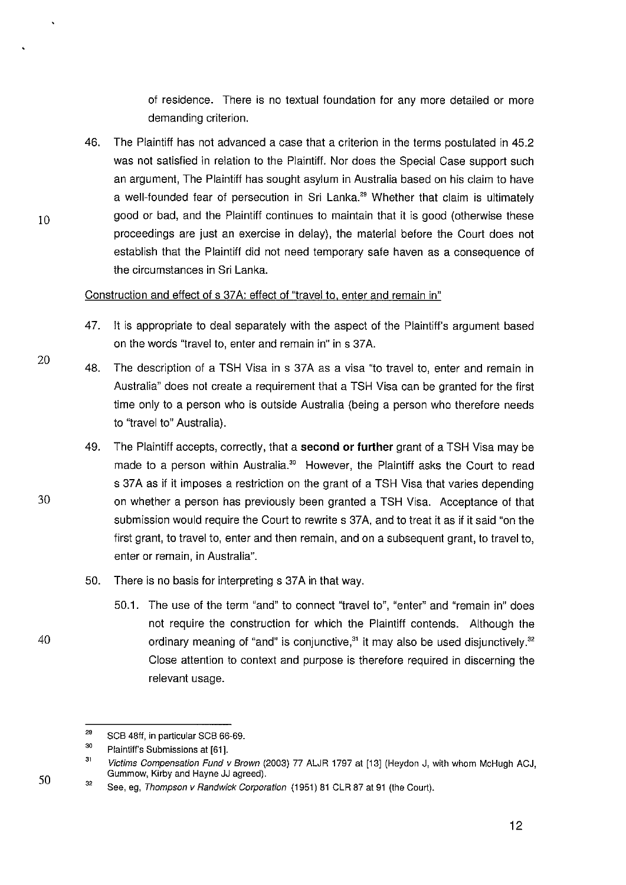of residence. There is no textual foundation for any more detailed or more demanding criterion.

46. The Plaintiff has not advanced a case that a criterion in the terms postulated in 45.2 was not satisfied in relation to the Plaintiff. Nor does the Special Case support such an argument, The Plaintiff has sought asylum in Australia based on his claim to have a well-founded fear of persecution in Sri Lanka.<sup>29</sup> Whether that claim is ultimately good or bad, and the Plaintiff continues to maintain that it is good (otherwise these proceedings are just an exercise in delay), the material before the Court does not establish that the Plaintiff did not need temporary safe haven as a consequence of the circumstances in Sri Lanka.

# Construction and effect of s 37A: effect of "travel to, enter and remain in"

- 47. It is appropriate to deal separately with the aspect of the Plaintiff's argument based on the words "travel to, enter and remain in" in s 37 A.
- 48. The description of a TSH Visa in s 37A as a visa "to travel to, enter and remain in Australia" does not create a requirement that a TSH Visa can be granted for the first time only to a person who is outside Australia (being a person who therefore needs to "travel to" Australia).
- 49. The Plaintiff accepts, correctly, that a **second or further** grant of a TSH Visa may be made to a person within Australia.<sup>30</sup> However, the Plaintiff asks the Court to read s 37A as if it imposes a restriction on the grant of a TSH Visa that varies depending on whether a person has previously been granted a TSH Visa. Acceptance of that submission would require the Court to rewrite s 37A, and to treat it as if it said "on the first grant, to travel to, enter and then remain, and on a subsequent grant, to travel to, enter or remain, in Australia".
- 50. There is no basis for interpreting s 37A in that way.
- 50.1. The use of the term "and" to connect "travel to", "enter" and "remain in" does not require the construction for which the Plaintiff contends. Although the 40 ordinary meaning of "and" is conjunctive,<sup>31</sup> it may also be used disjunctively.<sup>32</sup> Close attention to context and purpose is therefore required in discerning the relevant usage.

20

10

<sup>29</sup>  SCB 48ft, in particular SCB 66·69.

<sup>30</sup>  Plaintiff's Submissions at [61 ].

<sup>31</sup>  Victims Compensation Fund v Brown (2003) 77 ALJR 1797 at [13] (Heydon J, with whom McHugh ACJ, Gummow, Kirby and Hayne JJ agreed).

<sup>32</sup>  See, eg, Thompson v Randwick Corporation (1951) 81 CLR 87 at 91 (the Court).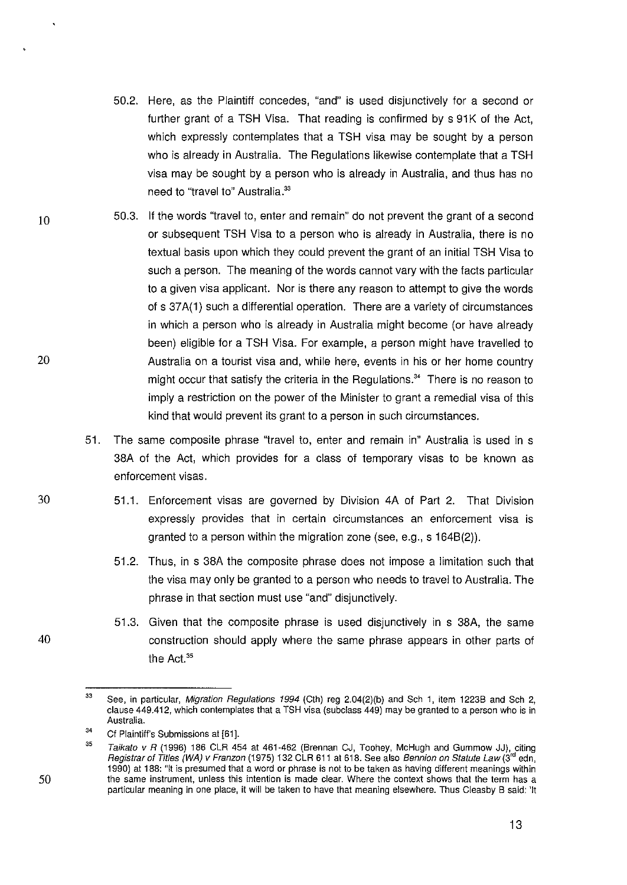- 50.2. Here, as the Plaintiff concedes, "and" is used disjunctively for a second or further grant of a TSH Visa. That reading is confirmed by s 91K of the Act, which expressly contemplates that a TSH visa may be sought by a person who is already in Australia. The Regulations likewise contemplate that a TSH visa may be sought by a person who is already in Australia, and thus has no need to "travel to" Australia.<sup>33</sup>
- 10 20 50.3. If the words "travel to, enter and remain" do not prevent the grant of a second or subsequent TSH Visa to a person who is already in Australia, there is no textual basis upon which they could prevent the grant of an initial TSH Visa to such a person. The meaning of the words cannot vary with the facts particular to a given visa applicant. Nor is there any reason to attempt to give the words of s 37A(1) such a differential operation. There are a variety of circumstances in which a person who is already in Australia might become (or have already been) eligible for a TSH Visa. For example, a person might have travelled to Australia on a tourist visa and, while here, events in his or her home country might occur that satisfy the criteria in the Regulations.<sup>34</sup> There is no reason to imply a restriction on the power of the Minister to grant a remedial visa of this kind that would prevent its grant to a person in such circumstances.
	- 51. The same composite phrase 'travel to, enter and remain in" Australia is used in s 38A of the Act, which provides for a class of temporary visas to be known as enforcement visas.
		- 51.1. Enforcement visas are governed by Division 4A of Part 2. That Division expressly provides that in certain circumstances an enforcement visa is granted to a person within the migration zone (see, e.g., s 1648(2)).
			- 51.2. Thus, in s 38A the composite phrase does not impose a limitation such that the visa may only be granted to a person who needs to travel to Australia. The phrase in that section must use "and" disjunctively.
			- 51.3. Given that the composite phrase is used disjunctively in s 38A, the same construction should apply where the same phrase appears in other parts of the Act.<sup>35</sup>

30

50

<sup>33</sup>  See, in particular, Migration Regulations 1994 (Cth) reg 2.04(2)(b) and Sch 1, item 1223B and Sch 2, clause 449.412, which contemplates that a TSH visa (subclass 449) may be granted to a person who is in Australia.

<sup>34</sup>  Cf Plaintiff's Submissions at [61].

<sup>35</sup>  Taikato v R (1996) 186 CLR 454 at 461-462 (Brennan CJ, Toohey, McHugh and Gummow JJ), citing Registrar of Titles (WA) v Franzon (1975) 132 CLR 611 at 618. See also Bennion on Statute Law (3<sup>rd</sup> edn, 1990) at 188: "It is presumed that a word or phrase is not to be taken as having different meanings within **the same instrument, unless this intention is made clear. Where the context shows that the term has a**  particular meaning in one place, it will be taken to have that meaning elsewhere. Thus Cleasby B said: 'It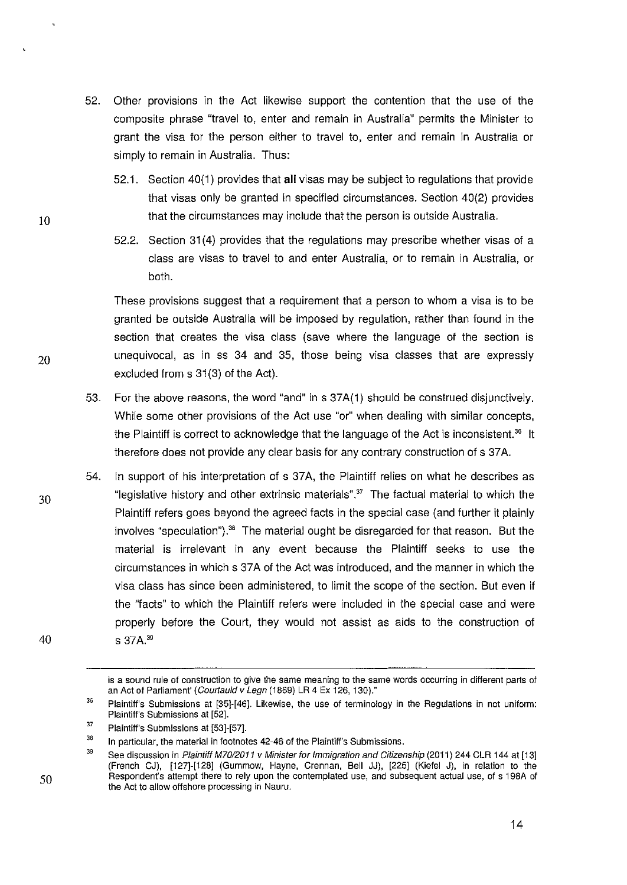- 52. Other provisions in the Act likewise support the contention that the use of the composite phrase "travel to, enter and remain in Australia" permits the Minister to grant the visa for the person either to travel to, enter and remain in Australia or simply to remain in Australia. Thus:
	- 52.1. Section 40(1) provides that all visas may be subject to regulations that provide that visas only be granted in specified circumstances. Section 40(2) provides that the circumstances may include that the person is outside Australia.
	- 52.2. Section 31 (4) provides that the regulations may prescribe whether visas of a class are visas to travel to and enter Australia, or to remain in Australia, or both.

These provisions suggest that a requirement that a person to whom a visa is to be granted be outside Australia will be imposed by regulation, rather than found in the section that creates the visa class (save where the language of the section is unequivocal, as in ss 34 and 35, those being visa classes that are expressly excluded from s 31(3) of the Act).

- 53. For the above reasons, the word "and" ins 37A(1) should be construed disjunctively. While some other provisions of the Act use "or" when dealing with similar concepts, the Plaintiff is correct to acknowledge that the language of the Act is inconsistent.<sup>36</sup> It therefore does not provide any clear basis for any contrary construction of s 37 A.
- 54. In support of his interpretation of s 37A, the Plaintiff relies on what he describes as "legislative history and other extrinsic materials". $37$  The factual material to which the Plaintiff refers goes beyond the agreed facts in the special case (and further it plainly involves "speculation").<sup>38</sup> The material ought be disregarded for that reason. But the material is irrelevant in any event because the Plaintiff seeks to use the circumstances in which s 37A of the Act was introduced, and the manner in which the visa class has since been administered, to limit the scope of the section. But even if the "facts" to which the Plaintiff refers were included in the special case and were properly before the Court, they would not assist as aids to the construction of s 37A. <sup>39</sup>

30

10

20

50

**is a sound rule of construction to give the same meaning to the same words occurring in different parts of**  an Act of Parliament' (Courtauld v Legn (1869) LR 4 Ex 126, 130)."

<sup>36</sup>  Plaintiff's Submissions at [35]-[46]. Likewise, the use of terminology in the Regulations in not uniform: Plaintiff's Submissions at [52].

<sup>37</sup>  Plaintiff's Submissions at [53]-[57].

<sup>38</sup>  In particular, the material in footnotes 42-46 of the Plaintiff's Submissions.

<sup>39</sup>  See discussion in Plaintiff M70/2011 v Minister for Immigration and Citizenship (2011) 244 CLR 144 at [13] (French CJ), [127]-[128] (Gummow, Hayne, Grennan, Bell JJ), [225] (Kiefel J), in relation to the Respondent's attempt there to rely upon the contemplated use, and subsequent actual use, of s 198A of the Act to allow offshore processing in Nauru.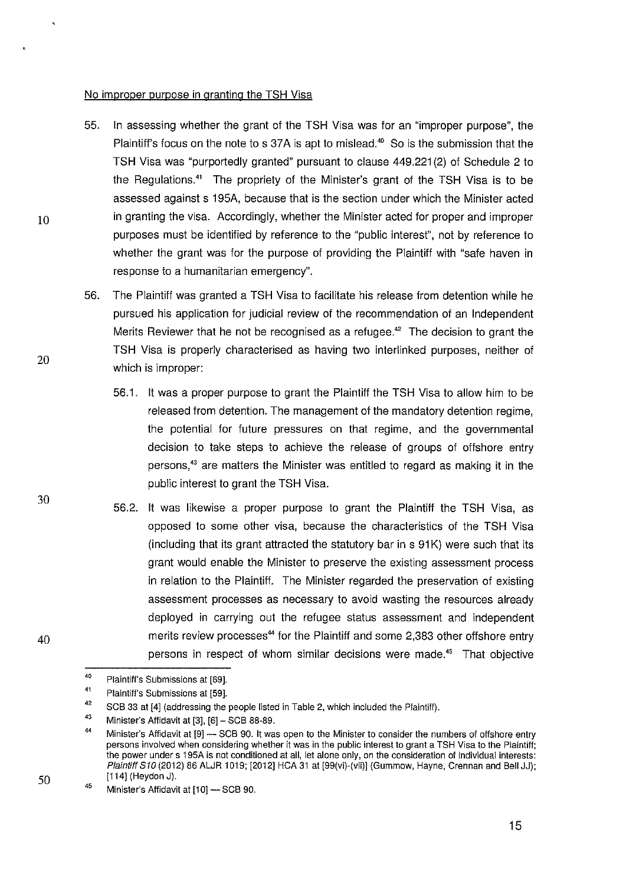#### No improper puroose in arantinq the TSH Visa

- 55. In assessing whether the grant of the TSH Visa was for an "improper purpose", the Plaintiff's focus on the note to s 37A is apt to mislead.<sup>40</sup> So is the submission that the TSH Visa was "purportedly granted" pursuant to clause 449.221 (2) of Schedule 2 to the Regulations." The propriety of the Minister's grant of the TSH Visa is to be assessed against s 195A, because that is the section under which the Minister acted in granting the visa. Accordingly, whether the Minister acted for proper and improper purposes must be identified by reference to the "public interest", not by reference to whether the grant was for the purpose of providing the Plaintiff with "safe haven in response to a humanitarian emergency".
- 56. The Plaintiff was granted a TSH Visa to facilitate his release from detention while he pursued his application for judicial review of the recommendation of an Independent Merits Reviewer that he not be recognised as a refugee.<sup>42</sup> The decision to grant the TSH Visa is properly characterised as having two interlinked purposes, neither of which is improper:
	- 56.1. It was a proper purpose to grant the Plaintiff the TSH Visa to allow him to be released from detention. The management of the mandatory detention regime, the potential for future pressures on that regime, and the governmental decision to take steps to achieve the release of groups of offshore entry persons,<sup>43</sup> are matters the Minister was entitled to regard as making it in the public interest to grant the TSH Visa.
	- 56.2. It was likewise a proper purpose to grant the Plaintiff the TSH Visa, as opposed to some other visa, because the characteristics of the TSH Visa (including that its grant attracted the statutory bar in s 91 K) were such that its grant would enable the Minister to preserve the existing assessment process in relation to the Plaintiff. The Minister regarded the preservation of existing assessment processes as necessary to avoid wasting the resources already deployed in carrying out the refugee status assessment and independent merits review processes<sup>44</sup> for the Plaintiff and some 2,383 other offshore entry persons in respect of whom similar decisions were made.<sup>45</sup> That objective

20

30

10



<sup>40</sup>  Plaintiff's Submissions at [69].

<sup>41</sup>  Plaintiff's Submissions at [59].

<sup>42</sup>  SCB 33 at [4] (addressing the people listed in Table 2, which included the Plaintiff).

<sup>43</sup>  Minister's Affidavit at [3], [6]- SCB 88-89.

<sup>44</sup>  Minister's Affidavit at [9] - SCB 90. It was open to the Minister to consider the numbers of offshore entry persons involved when considering whether it was in the public interest to grant a TSH Visa to the Plaintiff; the power under s 1 95A is not conditioned at all, let alone only, on the consideration of individual interests: Plaintiff S10 (2012) 86 ALJR 1019; [2012] HCA 31 at [99(vi)-(vii)] (Gummow, Hayne, Crennan and Bell JJ); [114] (Heydon J).

<sup>45</sup>  Minister's Affidavit at [10] - SCB 90.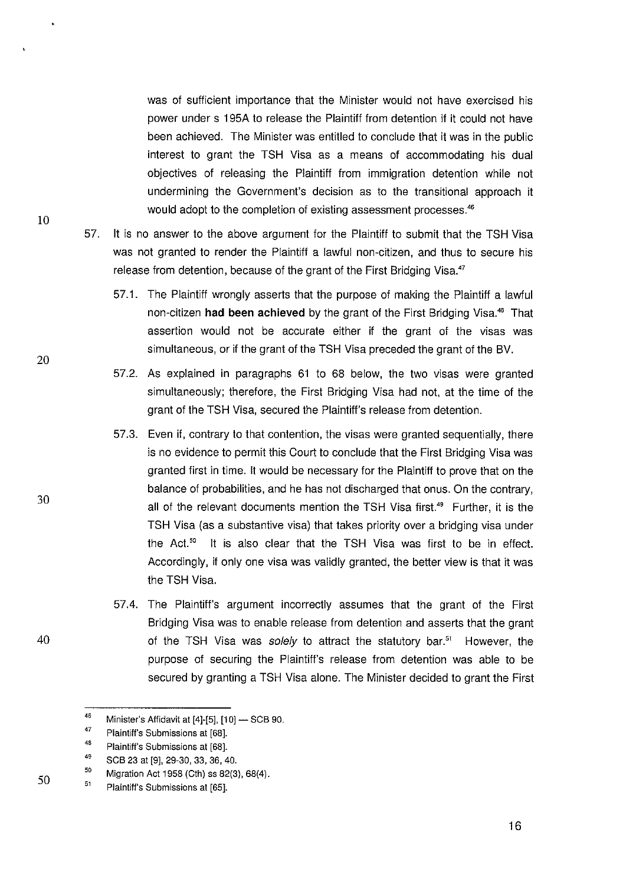was of sufficient importance that the Minister would not have exercised his power under s 195A to release the Plaintiff from detention if it could not have been achieved. The Minister was entitled to conclude that it was in the public interest to grant the TSH Visa as a means of accommodating his dual objectives of releasing the Plaintiff from immigration detention while not undermining the Government's decision as to the transitional approach it would adopt to the completion of existing assessment processes.<sup>46</sup>

- 57. It is no answer to the above argument for the Plaintiff to submit that the TSH Visa was not granted to render the Plaintiff a lawful non-citizen, and thus to secure his release from detention, because of the grant of the First Bridging Visa.<sup>47</sup>
	- 57.1. The Plaintiff wrongly asserts that the purpose of making the Plaintiff a lawful non-citizen **had been achieved** by the grant of the First Bridging Visa." That assertion would not be accurate either if the grant of the visas was simultaneous, or if the grant of the TSH Visa preceded the grant of the BV.
	- 57.2. As explained in paragraphs 61 to 68 below, the two visas were granted simultaneously; therefore, the First Bridging Visa had not, at the time of the grant of the TSH Visa, secured the Plaintiff's release from detention.
	- 57.3. Even if, contrary to that contention, the visas were granted sequentially, there is no evidence to permit this Court to conclude that the First Bridging Visa was granted first in time. It would be necessary for the Plaintiff to prove that on the balance of probabilities, and he has not discharged that onus. On the contrary, all of the relevant documents mention the TSH Visa first.<sup>49</sup> Further, it is the TSH Visa (as a substantive visa) that takes priority over a bridging visa under the Act.<sup>50</sup> It is also clear that the TSH Visa was first to be in effect. Accordingly, if only one visa was validly granted, the better view is that it was the TSH Visa.
	- 57.4. The Plaintiff's argument incorrectly assumes that the grant of the First Bridging Visa was to enable release from detention and asserts that the grant of the TSH Visa was *solely* to attract the statutory bar.<sup>51</sup> However, the purpose of securing the Plaintiff's release from detention was able to be secured by granting a TSH Visa alone. The Minister decided to grant the First

30

10

20

40

<sup>46</sup>  Minister's Affidavit at [4]-[5], [10] - SCB 90.

<sup>47</sup>  Plaintiff's Submissions at [68].

<sup>48</sup>  Plaintiff's Submissions at [68].

<sup>49</sup>  SCB 23 at [9], 29-30, 33, 36, 40.

<sup>50</sup>  Migration Act 1958 (Cth) ss 82(3), 68(4).

<sup>51</sup>  Plaintiff's Submissions at [65].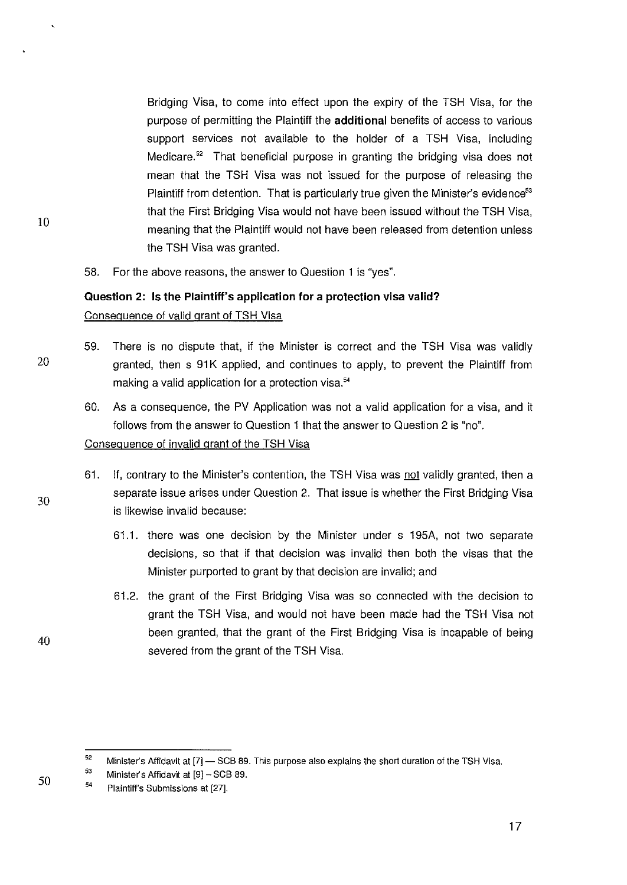Bridging Visa, to come into effect upon the expiry of the TSH Visa, for the purpose of permitting the Plaintiff the **additional** benefits of access to various support services not available to the holder of a TSH Visa, including Medicare.<sup>52</sup> That beneficial purpose in granting the bridging visa does not mean that the TSH Visa was not issued for the purpose of releasing the Plaintiff from detention. That is particularly true given the Minister's evidence<sup>53</sup> that the First Bridging Visa would not have been issued without the TSH Visa, meaning that the Plaintiff would not have been released from detention unless the TSH Visa was granted.

58. For the above reasons, the answer to Question 1 is "yes".

# **Question 2: Is the Plaintiff's application for a protection visa valid?**  Consequence of valid grant of TSH Visa

- 59. There is no dispute that, if the Minister is correct and the TSH Visa was validly  $20$  granted, then s 91K applied, and continues to apply, to prevent the Plaintiff from making a valid application for a protection visa.<sup>54</sup>
	- 60. As a consequence, the PV Application was not a valid application for a visa, and it follows from the answer to Question 1 that the answer to Question 2 is "no".

# Consequence of invalid grant of the TSH Visa

- 61. If, contrary to the Minister's contention, the TSH Visa was not validly granted, then a separate issue arises under Question 2. That issue is whether the First Bridging Visa is likewise invalid because:
	- 61.1. there was one decision by the Minister under s 195A, not two separate decisions, so that if that decision was invalid then both the visas that the Minister purported to grant by that decision are invalid; and
	- 61.2. the grant of the First Bridging Visa was so connected with the decision to grant the TSH Visa, and would not have been made had the TSH Visa not been granted, that the grant of the First Bridging Visa is incapable of being severed from the grant of the TSH Visa.

10

30

<sup>52</sup>  Minister's Affidavit at [7] - SCB 89. This purpose also explains the short duration of the TSH Visa.

<sup>53</sup>  Minister's Affidavit at [9]- SCB 89.

<sup>54</sup>  Plaintiff's Submissions at [27].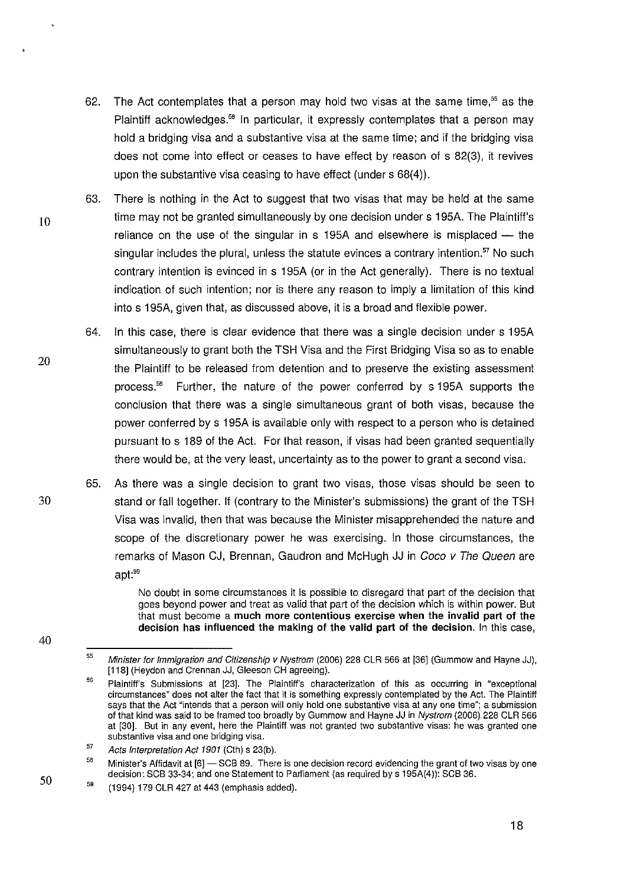- 62. The Act contemplates that a person may hold two visas at the same time.<sup>55</sup> as the Plaintiff acknowledges.<sup>56</sup> In particular, it expressly contemplates that a person may hold a bridging visa and a substantive visa at the same time; and if the bridging visa does not come into effect or ceases to have effect by reason of s 82(3), it revives upon the substantive visa ceasing to have effect (under s 68(4)).
- 63. There is nothing in the Act to suggest that two visas that may be held at the same  $10$  time may not be granted simultaneously by one decision under s 195A. The Plaintiff's reliance on the use of the singular in  $s$  195A and elsewhere is misplaced  $-$  the singular includes the plural, unless the statute evinces a contrary intention.<sup>57</sup> No such contrary intention is evinced in s 195A (or in the Act generally). There is no textual indication of such intention; nor is there any reason to imply a limitation of this kind into s 195A, given that, as discussed above, it is a broad and flexible power.
	- 64. In this case, there is clear evidence that there was a single decision under s 195A simultaneously to grant both the TSH Visa and the First Bridging Visa so as to enable the Plaintiff to be released from detention and to preserve the existing assessment process." Further, the nature of the power conferred by s 195A supports the conclusion that there was a single simultaneous grant of both visas, because the power conferred by s 195A is available only with respect to a person who is detained pursuant to s 189 of the Act. For that reason, if visas had been granted sequentially there would be, at the very least, uncertainty as to the power to grant a second visa.
- 65. As there was a single decision to grant two visas, those visas should be seen to 30 stand or fall together. If (contrary to the Minister's submissions) the grant of the TSH Visa was invalid, then that was because the Minister misapprehended the nature and scope of the discretionary power he was exercising. In those circumstances, the remarks of Mason CJ, Brennan, Gaudron and McHugh JJ in Coco v The Queen are apt:<sup>59</sup>

No doubt in some circumstances it is possible to disregard that part of the decision that goes beyond power and treat as valid that part of the decision which is within power. But that must become a **much more contentious exercise when the invalid part of the decision has influenced the making of the valid part of the decision.** In this case,

18

20

50 59

40

Minister for Immigration and Citizenship v Nystrom (2006) 228 CLR 566 at [36] (Gummow and Hayne JJ), [118] (Heydon and Crennan JJ, Gleeson CH agreeing).

<sup>56</sup>  Plaintiff's Submissions at [23]. The Plaintiff's characterization of this as occurring in "exceptional circumstances" does not alter the fact that it is something expressly contemplated by the Act. The Plaintiff says that the Act "intends that a person will only hold one substantive visa at any one time"; a submission of that kind was said to be framed too broadly by Gummow and Hayne JJ in Nystrom (2006) 228 CLR 566 at [30]. But in any event, here the Plaintiff was not granted two substantive visas: he was granted one **substantive visa and one bridging visa.** 

<sup>57</sup>  Acts Interpretation Act 1901 (Cth) s 23(b).

<sup>58</sup>  Minister's Affidavit at [6] - SCB 89. There is one decision record evidencing the grant of two visas by one decision: SCB 33-34; and one Statement to Parliament (as required by s 195A(4)): SCB 36.

<sup>(1994) 179</sup> CLR 427 at 443 (emphasis added).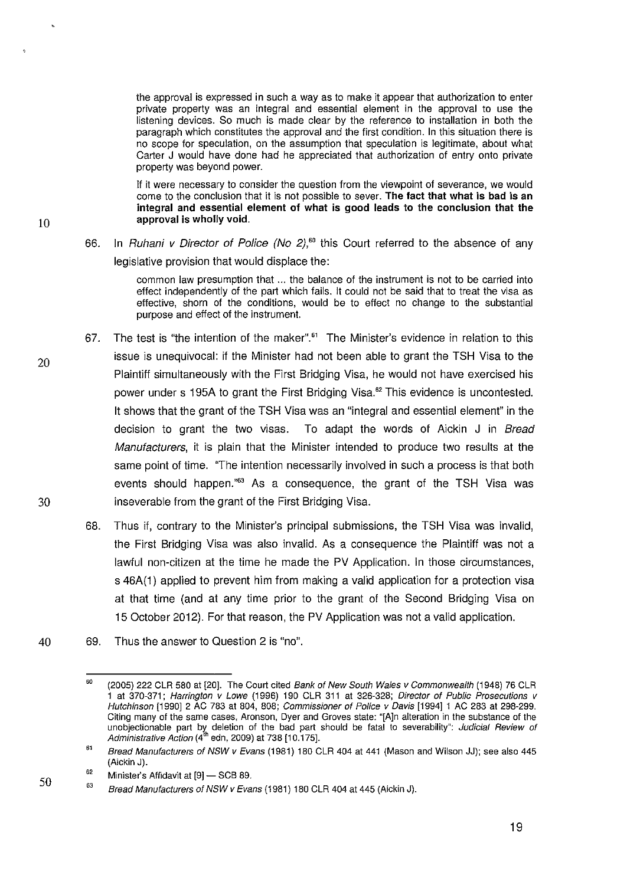the approval is expressed in such a way as to make it appear that authorization to enter private property was an integral and essential element in the approval to use the listening devices. So much is made clear by the reference to installation in both the paragraph which constitutes the approval and the first condition. In this situation there is no scope for speculation, on the assumption that speculation is legitimate, about what Carter J would have done had he appreciated that authorization of entry onto private property was beyond power.

If it were necessary to consider the question from the viewpoint of severance, we would come to the conclusion that it is not possible to sever. The fact that what is bad is an integral and essential element of what is good leads to the conclusion that the 10 **approval is wholly void.** 

# 66. In Ruhani v Director of Police (No 2}, *<sup>60</sup>*this Court referred to the absence of any legislative provision that would displace the:

common law presumption that ... the balance of the instrument is not to be carried into effect independently of the part which fails. It could not be said that to treat the visa as effective, shorn of the conditions, would be to effect no change to the substantial purpose and effect of the instrument.

- 67. The test is "the intention of the maker".<sup>61</sup> The Minister's evidence in relation to this issue is unequivocal: if the Minister had not been able to grant the TSH Visa to the Plaintiff simultaneously with the First Bridging Visa, he would not have exercised his power under s 195A to grant the First Bridging Visa." This evidence is uncontested. It shows that the grant of the TSH Visa was an "integral and essential element" in the decision to grant the two visas. To adapt the words of Aickin J in Bread Manufacturers, it is plain that the Minister intended to produce two results at the same point of time. "The intention necessarily involved in such a process is that both events should happen."<sup>63</sup> As a consequence, the grant of the TSH Visa was 30 inseverable from the grant of the First Bridging Visa.
	- 68. Thus if, contrary to the Minister's principal submissions, the TSH Visa was invalid, the First Bridging Visa was also invalid. As a consequence the Plaintiff was not a lawful non-citizen at the time he made the PV Application. In those circumstances, s 46A(1) applied to prevent him from making a valid application for a protection visa at that time (and at any time prior to the grant of the Second Bridging Visa on 15 October 2012). For that reason, the PV Application was not a valid application.
- 40 69. Thus the answer to Question 2 is "no".

<sup>60</sup>  (2005) 222 CLR 580 at [20]. The Court cited Bank of New South Wales v Commonwealth (1948) 76 CLR 1 at 370-371; Harrington v Lowe (1996) 190 CLR 311 at 326-328; Director of Public Prosecutions v Hutchinson [t990] 2 AC 783 at 804, 808; Commissioner of Police v Davis [t994] t AC 283 at 298-299. Citing many of the same cases, Aronson, Dyer and Groves state: "[A]n alteration in the substance of the unobjectionable part by deletion of the bad part should be fatal to severability": Judicial Review of Administrative Action (4<sup>th</sup> edn, 2009) at 738 [10.175].

<sup>61</sup>  Bread Manufacturers of NSW v Evans (1981) 180 CLR 404 at 441 (Mason and Wilson JJ); see also 445 (Aickin J).

<sup>62</sup>  Minister's Affidavit at [9] - SCB 89.

<sup>63</sup>  Bread Manufacturers of NSW v Evans (1981) 180 CLR 404 at 445 (Aickin J).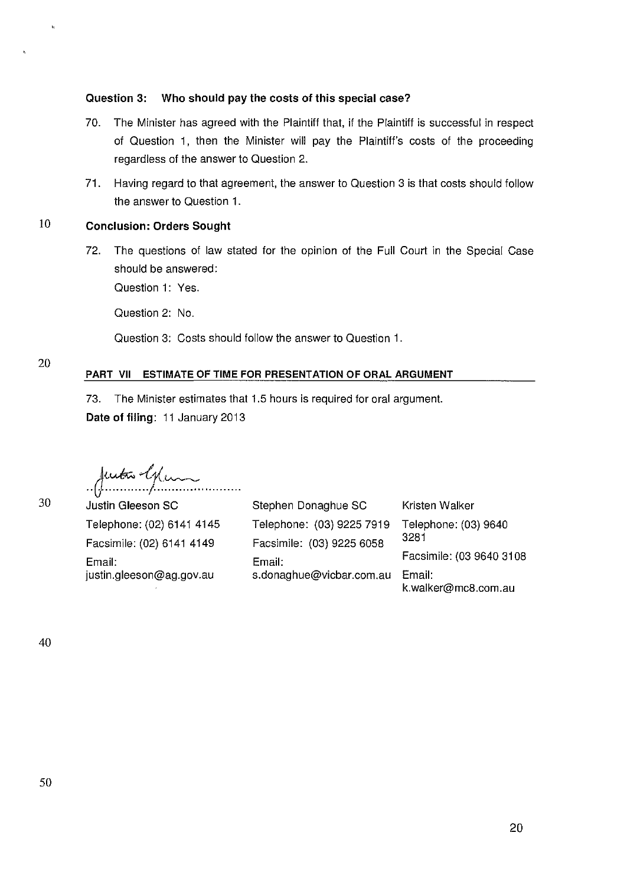## **Question 3: Who should pay the costs of this special case?**

- 70. The Minister has agreed with the Plaintiff that, if the Plaintiff is successful in respect of Question 1, then the Minister will pay the Plaintiff's costs of the proceeding regardless of the answer to Question 2.
- 71. Having regard to that agreement, the answer to Question 3 is that costs should follow the answer to Question 1.

# 10 **Conclusion: Orders Sought**

72. The questions of law stated for the opinion of the Full Court in the Special Case should be answered:

Question 1: Yes.

Question 2: No.

Question 3: Costs should follow the answer to Question 1.

# **PART VII ESTIMATE OF TIME FOR PRESENTATION OF ORAL ARGUMENT**

73. The Minister estimates that 1.5 hours is required for oral argument. **Date of filing:** 11 January 2013

*..* J.~~-~t.-~ *.......... .* 

Justin Gleeson SC Telephone: (02) 6141 4145 Facsimile: (02) 6141 4149 Email: justin.gleeson@ag.gov.au

Kristen Walker Telephone: (03) 9640 3281 Stephen Donaghue SC Telephone: (03) 9225 7919 Facsimile: (03) 9225 6058 Email: Facsimile: (03 9640 3108 s.donaghue@vicbar.com.au Email: k.walker@mc8.com.au

30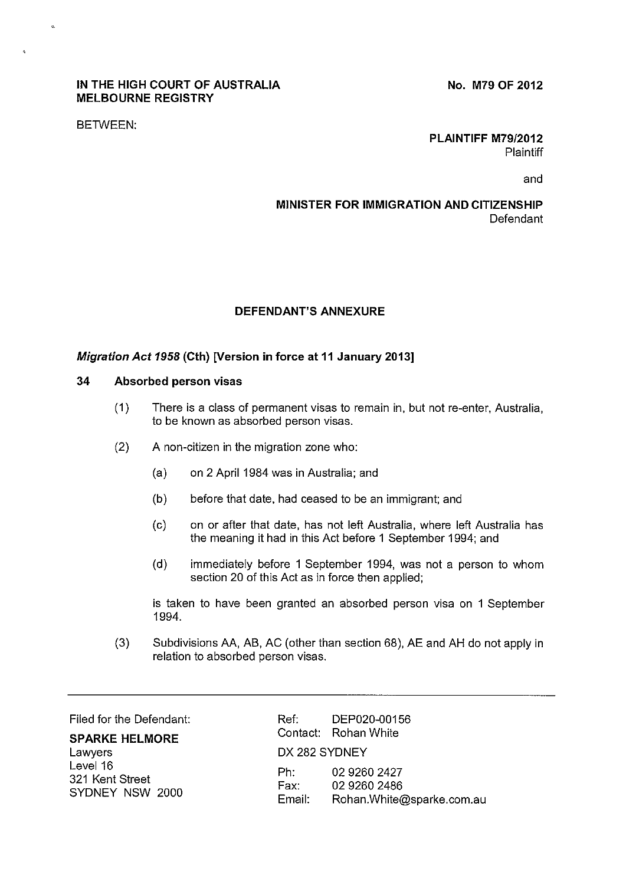## **IN THE HIGH COURT OF AUSTRALIA MELBOURNE REGISTRY**

**No. M79 OF 2012** 

BETWEEN:

**PLAINTIFF M79/2012 Plaintiff** 

and

# **MINISTER FOR IMMIGRATION AND CITIZENSHIP**  Defendant

## **DEFENDANT'S ANNEXURE**

## **Migration Act 1958 (Cth) [Version in force at 11 January 2013]**

#### **34 Absorbed person visas**

- (1) There is a class of permanent visas to remain in, but not re-enter, Australia, to be known as absorbed person visas.
- (2) A non-citizen in the migration zone who:
	- (a) on 2 April 1984 was in Australia; and
	- (b) before that date, had ceased to be an immigrant; and
	- (c) on or after that date, has not left Australia, where left Australia has the meaning it had in this Act before 1 September 1994; and
	- (d) immediately before 1 September 1994, was not a person to whom section 20 of this Act as in force then applied;

is taken to have been granted an absorbed person visa on 1 September 1994.

(3) Subdivisions AA, AB, AC (other than section 68), AE and AH do not apply in relation to absorbed person visas.

**SPARKE HELMORE**  Lawyers Level 16 321 Kent Street SYDNEY NSW 2000

Filed for the Defendant: Ref: DEP020-00156 Contact: Rohan White DX 282 SYDNEY Ph: 02 9260 2427 Fax: 02 9260 2486 Email: Rohan.White@sparke.com.au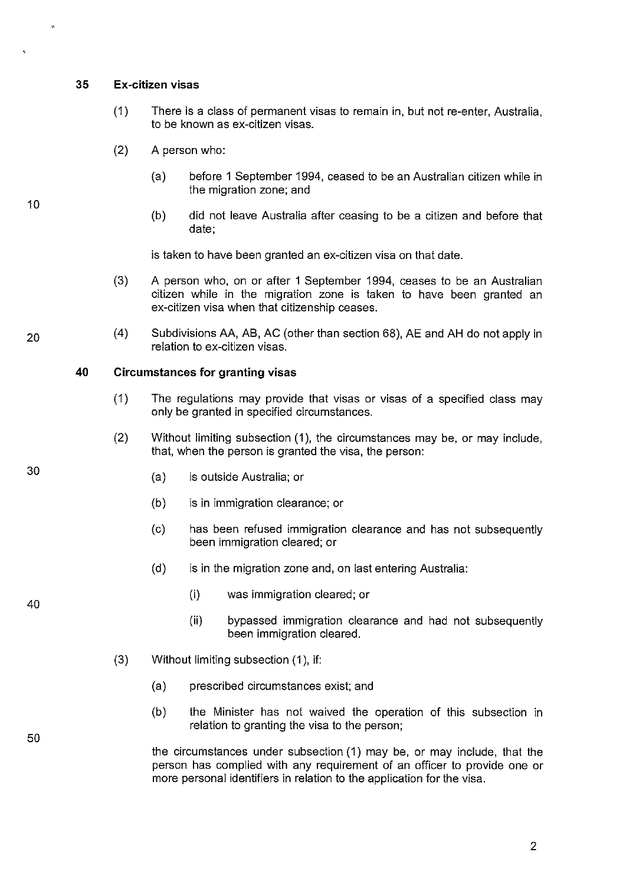#### **35 Ex-citizen visas**

- (1) There is a class of permanent visas to remain in, but not re-enter, Australia, to be known as ex-citizen visas.
- (2) A person who:
	- (a) before 1 September 1994, ceased to be an Australian citizen while in the migration zone; and
	- (b) did not leave Australia after ceasing to be a citizen and before that date;

is taken to have been granted an ex-citizen visa on that date.

- (3) A person who, on or after 1 September 1994, ceases to be an Australian citizen while in the migration zone is taken to have been granted an ex-citizen visa when that citizenship ceases.
- (4) Subdivisions AA, AB, AC (other than section 68), AE and AH do not apply in relation to ex-citizen visas.

## **40 Circumstances for granting visas**

- (1) The regulations may provide that visas or visas of a specified class may only be granted in specified circumstances.
- (2) Without limiting subsection (1 ), the circumstances may be, or may include, that, when the person is granted the visa, the person:
	- (a) is outside Australia; or
	- (b) is in immigration clearance; or
	- (c) has been refused immigration clearance and has not subsequently been immigration cleared; or
	- (d) is in the migration zone and, on last entering Australia:
		- (i) was immigration cleared; or
		- (ii) bypassed immigration clearance and had not subsequently been immigration cleared.
- (3) Without limiting subsection (1 ), if:
	- (a) prescribed circumstances exist; and
	- (b) the Minister has not waived the operation of this subsection in relation to granting the visa to the person;

the circumstances under subsection (1) may be, or may include, that the person has complied with any requirement of an officer to provide one or more personal identifiers in relation to the application for the visa.

10

30

20

40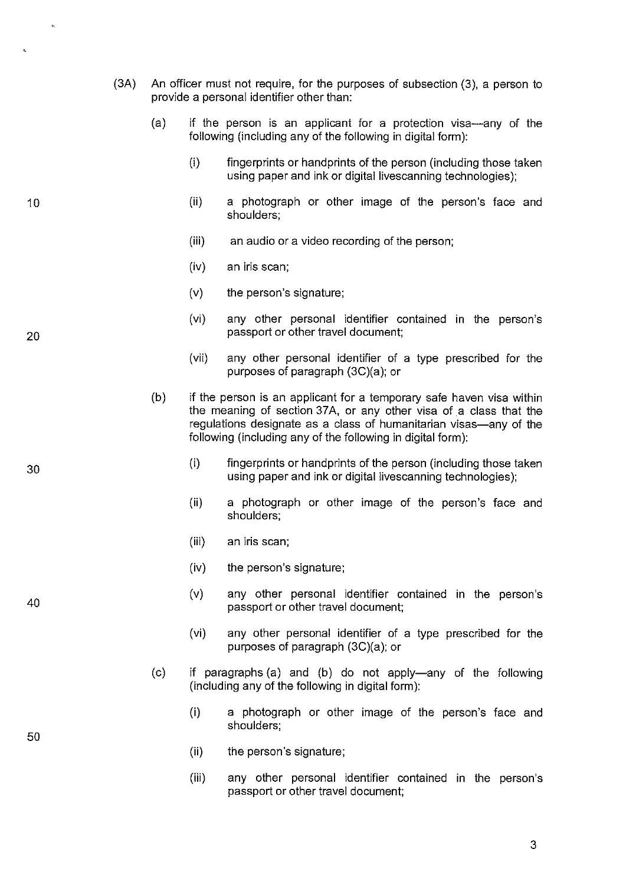- (3A) An officer must not require, for the purposes of subsection (3), a person to provide a personal identifier other than:
	- (a) if the person is an applicant for a protection visa-any of the following (including any of the following in digital form):
		- (i) fingerprints or handprints of the person (including those taken using paper and ink or digital livescanning technologies);
		- (ii) a photograph or other image of the person's face and shoulders;
		- (iii) an audio or a video recording of the person;
		- (iv) an iris scan;
		- (v) the person's signature;
		- (vi) any other personal identifier contained in the person's passport or other travel document;
		- (vii) any other personal identifier of a type prescribed for the purposes of paragraph (3C)(a); or
	- (b) if the person is an applicant for a temporary safe haven visa within the meaning of section 37A, or any other visa of a class that the regulations designate as a class of humanitarian visas—any of the following (including any of the following in digital form):
		- (i) fingerprints or handprints of the person (including those taken using paper and ink or digital livescanning technologies);
		- (ii) a photograph or other image of the person's face and shoulders;
		- (iii) an iris scan;
		- (iv) the person's signature;
		- (v) any other personal identifier contained in the person's passport or other travel document;
		- (vi) any other personal identifier of a type prescribed for the purposes of paragraph (3C)(a); or
	- (c) if paragraphs (a) and (b) do not apply-any of the following (including any of the following in digital form):
		- (i) a photograph or other image of the person's face and shoulders;
		- (ii) the person's signature;
		- (iii) any other personal identifier contained in the person's passport or other travel document;

20

10

30

40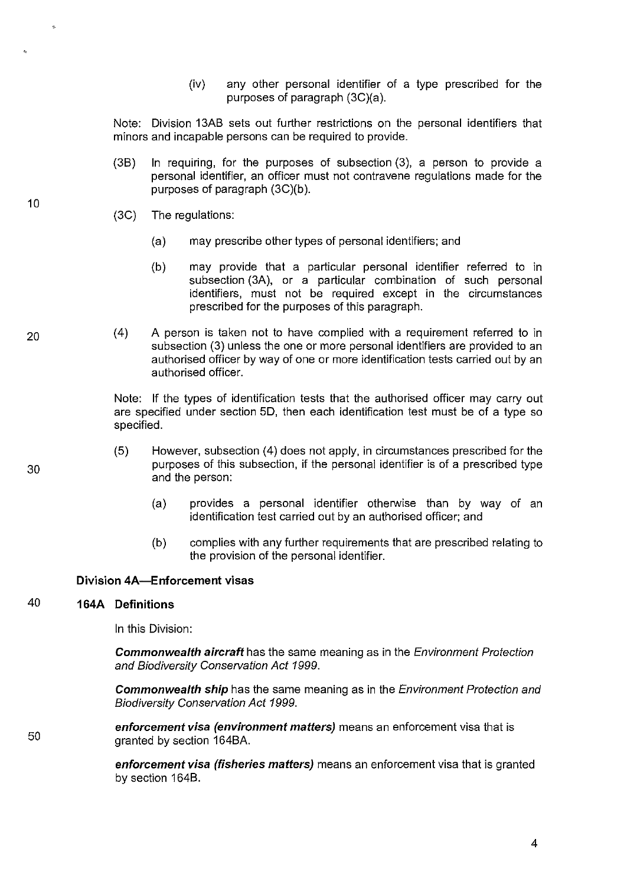(iv) any other personal identifier of a type prescribed for the purposes of paragraph (3C)(a).

Note: Division 13A8 sets out further restrictions on the personal identifiers that minors and incapable persons can be required to provide.

- (38) In requiring, for the purposes of subsection (3), a person to provide a personal identifier, an officer must not contravene regulations made for the purposes of paragraph (3C)(b ).
- (3C) The regulations:
	- (a) may prescribe other types of personal identifiers; and
	- (b) may provide that a particular personal identifier referred to in subsection (3A), or a particular combination of such personal identifiers, must not be required except in the circumstances prescribed for the purposes of this paragraph.
- (4) A person is taken not to have complied with a requirement referred to in subsection (3) unless the one or more personal identifiers are provided to an authorised officer by way of one or more identification tests carried out by an authorised officer.

Note: If the types of identification tests that the authorised officer may carry out are specified under section 50, then each identification test must be of a type so specified.

- (5) However, subsection ( 4) does not apply, in circumstances prescribed for the purposes of this subsection, if the personal identifier is of a prescribed type and the person:
	- (a) provides a personal identifier otherwise than by way of an identification test carried out by an authorised officer; and
	- (b) complies with any further requirements that are prescribed relating to the provision of the personal identifier.

# **Division 4A-Enforcement visas**

# 40 **164A Definitions**

In this Division:

**Commonwealth aircraft** has the same meaning as in the Environment Protection and Biodiversity Conservation Act 1999.

**Commonwealth ship** has the same meaning as in the Environment Protection and Biodiversity Conservation Act 1999.

**enforcement visa (environment matters)** means an enforcement visa that is granted by section 1648A.

**enforcement visa (fisheries matters)** means an enforcement visa that is granted by section 1648.

10

20

30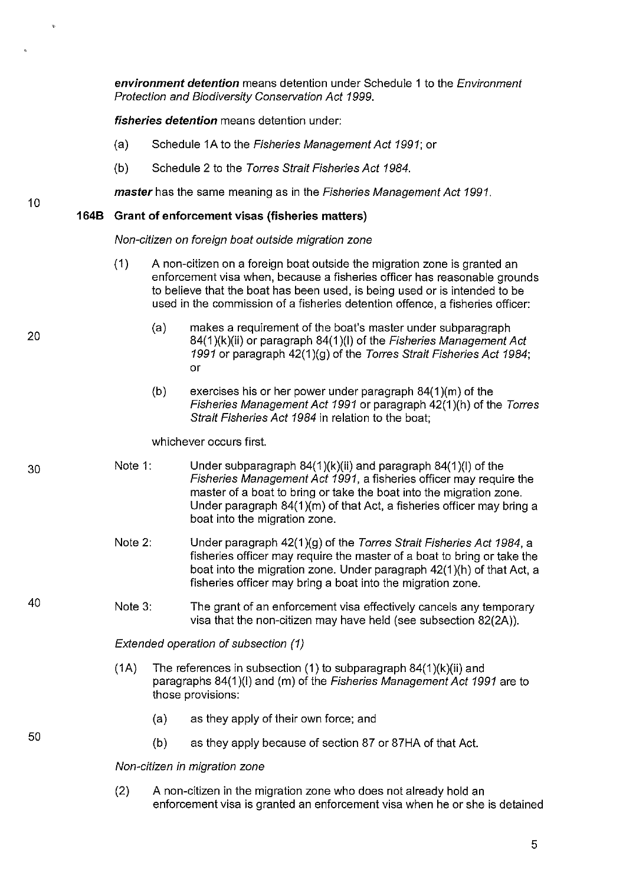**environment detention** means detention under Schedule 1 to the Environment Protection and Biodiversity Conservation Act 1999.

**fisheries detention** means detention under:

- (a) Schedule 1A to the Fisheries Management Act 1991; or
- (b) Schedule 2 to the Torres Strait Fisheries Act 1984.

**master** has the same meaning as in the Fisheries Management Act 1991.

## **1648 Grant of enforcement visas (fisheries matters)**

Non-citizen on foreign boat outside migration zone

- (1) A non-citizen on a foreign boat outside the migration zone is granted an enforcement visa when, because a fisheries officer has reasonable grounds to believe that the boat has been used, is being used or is intended to be used in the commission of a fisheries detention offence, a fisheries officer:
	- (a) makes a requirement of the boat's master under subparagraph 84(1)(k)(ii) or paragraph 84(1)(l) of the Fisheries Management Act 1991 or paragraph 42(1 )(g) of the Torres Strait Fisheries Act 1984; or
	- (b) exercises his or her power under paragraph 84(1 )(m) of the Fisheries Management Act 1991 or paragraph 42(1 )(h) of the Torres Strait Fisheries Act 1984 in relation to the boat;

whichever occurs first.

- Note 1: Under subparagraph  $84(1)(k)(ii)$  and paragraph  $84(1)(l)$  of the Fisheries Management Act 1991, a fisheries officer may require the master of a boat to bring or take the boat into the migration zone. Under paragraph 84(1 )(m) of that Act, a fisheries officer may bring a boat into the migration zone.
	- Note 2: Under paragraph 42(1 )(g) of the Torres Strait Fisheries Act 1984, a fisheries officer may require the master of a boat to bring or take the boat into the migration zone. Under paragraph 42(1 )(h) of that Act, a fisheries officer may bring a boat into the migration zone.
- Note 3: The grant of an enforcement visa effectively cancels any temporary visa that the non-citizen may have held (see subsection 82(2A)).

Extended operation of subsection (1)

- (1A) The references in subsection (1) to subparagraph  $84(1)(k)(ii)$  and paragraphs 84(1)(I) and (m) of the Fisheries Management Act 1991 are to those provisions:
	- (a) as they apply of their own force; and
	- (b) as they apply because of section 87 or 87HA of that Act.

Non-citizen in migration zone

(2) A non-citizen in the migration zone who does not already hold an enforcement visa is granted an enforcement visa when he or she is detained

10

20

40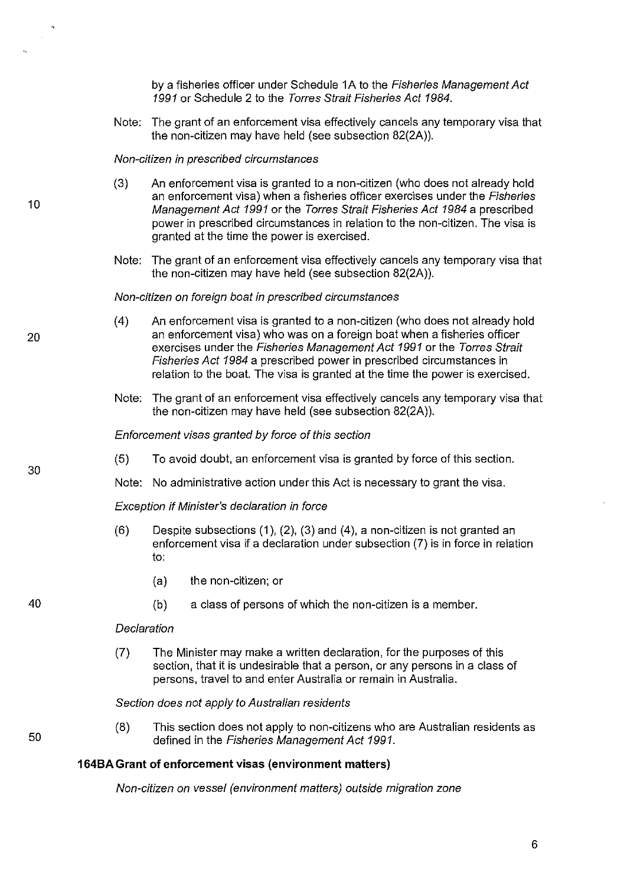by a fisheries officer under Schedule 1A to the Fisheries Management Act 1991 or Schedule 2 to the Torres Strait Fisheries Act 1984.

Note: The grant of an enforcement visa effectively cancels any temporary visa that the non-citizen may have held (see subsection 82(2A)).

#### Non-citizen in prescribed circumstances

- (3) An enforcement visa is granted to a non-citizen (who does not already hold an enforcement visa) when a fisheries officer exercises under the Fisheries Management Act 1991 or the Torres Strait Fisheries Act 1984 a prescribed power in prescribed circumstances in relation to the non-citizen. The visa is granted at the time the power is exercised.
- Note: The grant of an enforcement visa effectively cancels any temporary visa that the non-citizen may have held (see subsection 82(2A)).

#### Non-citizen on foreign boat in prescribed circumstances

- (4) An enforcement visa is granted to a non-citizen (who does not already hold an enforcement visa) who was on a foreign boat when a fisheries officer exercises under the Fisheries Management Act 1991 or the Torres Strait Fisheries Act 1984 a prescribed power in prescribed circumstances in relation to the boat. The visa is granted at the time the power is exercised.
- Note: The grant of an enforcement visa effectively cancels any temporary visa that the non-citizen may have held (see subsection 82(2A)).

#### Enforcement visas granted by force of this section

- (5) To avoid doubt, an enforcement visa is granted by force of this section.
- Note: No administrative action under this Act is necessary to grant the visa.

Exception if Minister's declaration in force

- $(6)$  Despite subsections  $(1)$ ,  $(2)$ ,  $(3)$  and  $(4)$ , a non-citizen is not granted an enforcement visa if a declaration under subsection (7) is in force in relation to:
	- (a) the non-citizen; or
	- (b) a class of persons of which the non-citizen is a member.

#### **Declaration**

(7) The Minister may make a written declaration, for the purposes of this section, that it is undesirable that a person, or any persons in a class of persons, travel to and enter Australia or remain in Australia.

#### Section does not apply to Australian residents

(8) This section does not apply to non-citizens who are Australian residents as defined in the Fisheries Management Act 1991.

## **164BA Grant of enforcement visas (environment matters)**

Non-citizen on vessel (environment matters) outside migration zone

6

20

10

 $\mathcal{L}_{\mathcal{A}}$ 

30

40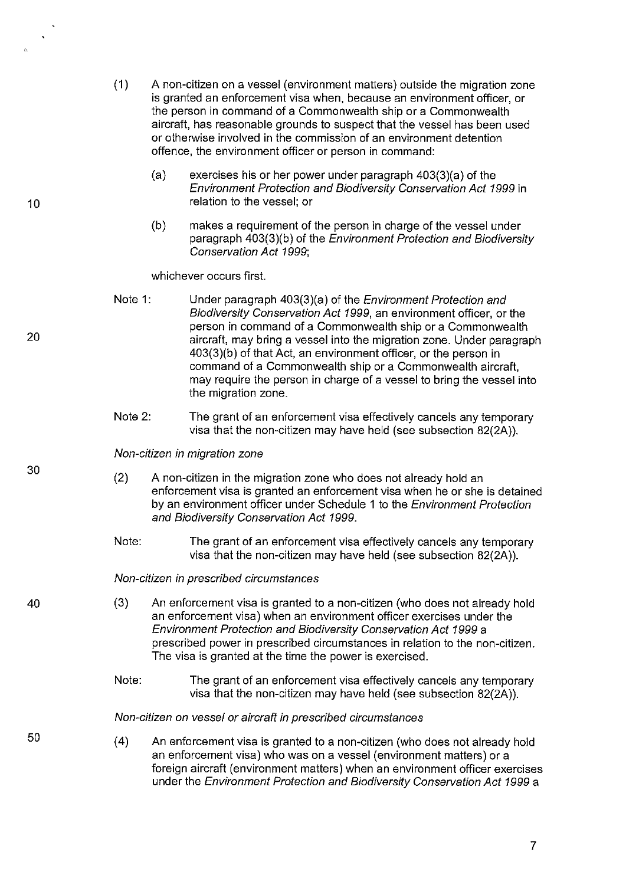- (1) A non-citizen on a vessel (environment matters) outside the migration zone is granted an enforcement visa when, because an environment officer, or the person in command of a Commonwealth ship or a Commonwealth aircraft, has reasonable grounds to suspect that the vessel has been used or otherwise involved in the commission of an environment detention offence, the environment officer or person in command:
	- (a) exercises his or her power under paragraph 403(3)(a) of the Environment Protection and Biodiversity Conservation Act 1999 in relation to the vessel; or
	- (b) makes a requirement of the person in charge of the vessel under paragraph 403(3)(b) of the Environment Protection and Biodiversity Conservation Act 1999;

whichever occurs first.

- Note 1: Under paragraph 403(3)(a) of the Environment Protection and Biodiversity Conservation Act 1999, an environment officer, or the person in command of a Commonwealth ship or a Commonwealth aircraft, may bring a vessel into the migration zone. Under paragraph 403(3)(b) of that Act, an environment officer, or the person in command of a Commonwealth ship or a Commonwealth aircraft, may require the person in charge of a vessel to bring the vessel into the migration zone.
- Note 2: The grant of an enforcement visa effectively cancels any temporary visa that the non-citizen may have held (see subsection 82(2A)).

Non-citizen in migration zone

- (2) A non-citizen in the migration zone who does not already hold an enforcement visa is granted an enforcement visa when he or she is detained by an environment officer under Schedule 1 to the Environment Protection and Biodiversity Conservation Act 1999.
- Note: The grant of an enforcement visa effectively cancels any temporary visa that the non-citizen may have held (see subsection 82(2A)).

Non-citizen in prescribed circumstances

- (3) An enforcement visa is granted to a non-citizen (who does not already hold an enforcement visa) when an environment officer exercises under the Environment Protection and Biodiversity Conservation Act 1999 a prescribed power in prescribed circumstances in relation to the non-citizen. The visa is granted at the time the power is exercised.
	- Note: The grant of an enforcement visa effectively cancels any temporary visa that the non-citizen may have held (see subsection 82(2A)).

Non-citizen on vessel or aircraft in prescribed circumstances

(4) An enforcement visa is granted to a non-citizen (who does not already hold an enforcement visa) who was on a vessel (environment matters) or a foreign aircraft (environment matters) when an environment officer exercises under the Environment Protection and Biodiversity Conservation Act 1999 a

20

10

 $\mathbf{z}_2$ 

30

40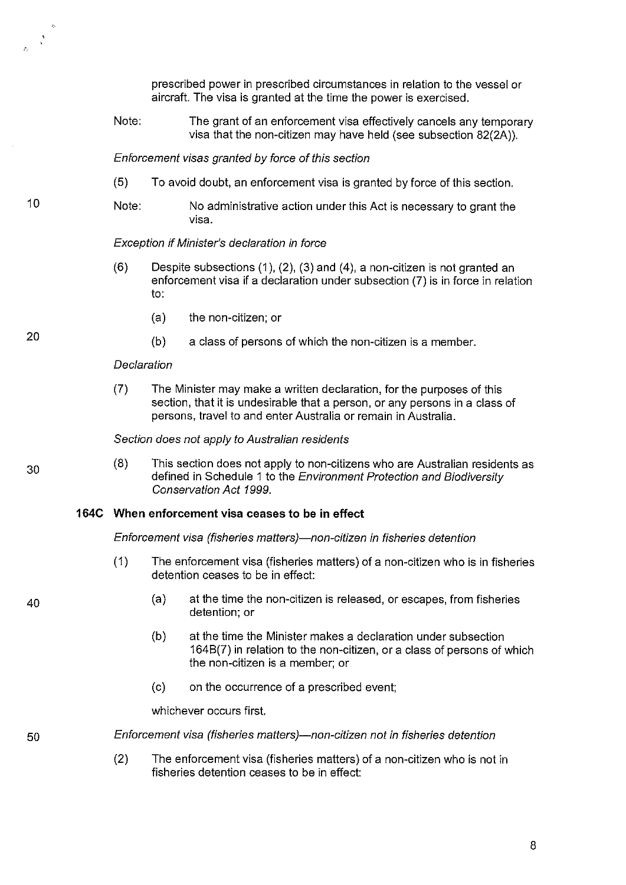prescribed power in prescribed circumstances in relation to the vessel or aircraft. The visa is granted at the time the power is exercised.

Note: The grant of an enforcement visa effectively cancels any temporary visa that the non-citizen may have held (see subsection 82(2A)).

Enforcement visas granted by force of this section

- (5) To avoid doubt, an enforcement visa is granted by force of this section.
- Note: No administrative action under this Act is necessary to grant the visa.

#### Exception if Minister's declaration in force

- $(6)$  Despite subsections  $(1)$ ,  $(2)$ ,  $(3)$  and  $(4)$ , a non-citizen is not granted an enforcement visa if a declaration under subsection (7) is in force in relation to:
	- (a) the non-citizen; or
	- (b) a class of persons of which the non-citizen is a member.

#### **Declaration**

(7) The Minister may make a written declaration, for the purposes of this section, that it is undesirable that a person, or any persons in a class of persons, travel to and enter Australia or remain in Australia.

#### Section does not apply to Australian residents

(8) This section does not apply to non-citizens who are Australian residents as defined in Schedule 1 to the Environment Protection and Biodiversity Conservation Act 1999.

## **164C When enforcement visa ceases to be in effect**

Enforcement visa (fisheries matters)—non-citizen in fisheries detention

- (1) The enforcement visa (fisheries matters) of a non-citizen who is in fisheries detention ceases to be in effect:
	- (a) at the time the non-citizen is released, or escapes, from fisheries detention; or
	- (b) at the time the Minister makes a declaration under subsection 1648(7) in relation to the non-citizen, or a class of persons of which the non-citizen is a member; or
	- (c) on the occurrence of a prescribed event;

whichever occurs first.

Enforcement visa (fisheries matters)-non-citizen not in fisheries detention

(2) The enforcement visa (fisheries matters) of a non-citizen who is not in fisheries detention ceases to be in effect:

20

10

30

40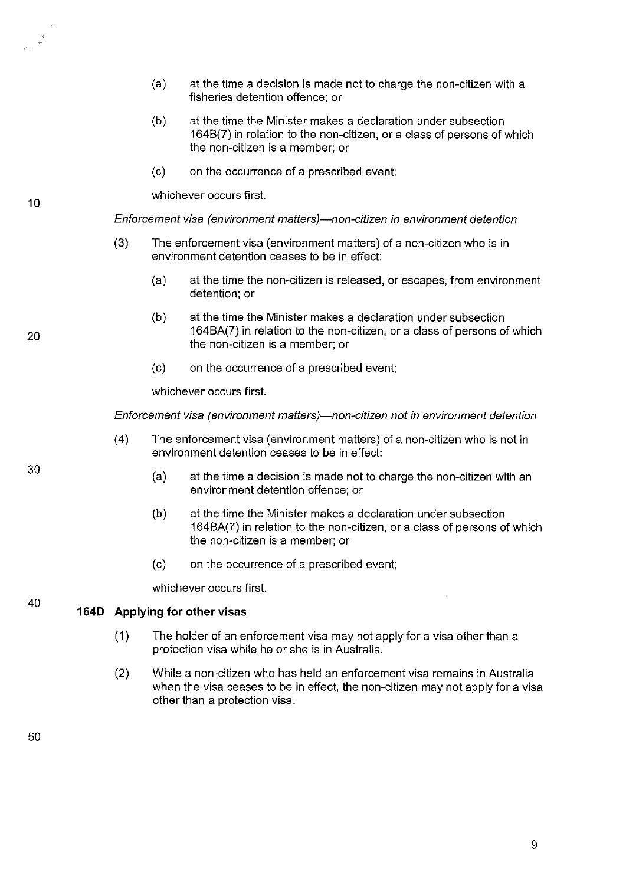- (a) at the time a decision is made not to charge the non-citizen with a fisheries detention offence; or
- (b) at the time the Minister makes a declaration under subsection 1648(7) in relation to the non-citizen, or a class of persons of which the non-citizen is a member; or
- (c) on the occurrence of a prescribed event;

whichever occurs first.

Enforcement visa (environment matters)-non-citizen in environment detention

- (3) The enforcement visa (environment matters) of a non-citizen who is in environment detention ceases to be in effect:
	- (a) at the time the non-citizen is released, or escapes, from environment detention; or
	- (b) at the time the Minister makes a declaration under subsection 164BA(7) in relation to the non-citizen, or a class of persons of which the non-citizen is a member; or
	- (c) on the occurrence of a prescribed event;

whichever occurs first.

Enforcement visa (environment matters)-non-citizen not in environment detention

- ( 4) The enforcement visa (environment matters) of a non-citizen who is not in environment detention ceases to be in effect:
	- (a) at the time a decision is made not to charge the non-citizen with an environment detention offence; or
	- (b) at the time the Minister makes a declaration under subsection 164BA(7) in relation to the non-citizen, or a class of persons of which the non-citizen is a member; or
	- (c) on the occurrence of a prescribed event;

whichever occurs first.

#### **1640 Applying for other visas**

- (1) The holder of an enforcement visa may not apply for a visa other than a protection visa while he or she is in Australia.
- (2) While a non-citizen who has held an enforcement visa remains in Australia when the visa ceases to be in effect, the non-citizen may not apply for a visa other than a protection visa.

10

 $\mathbb{R}^d$ 

30

40